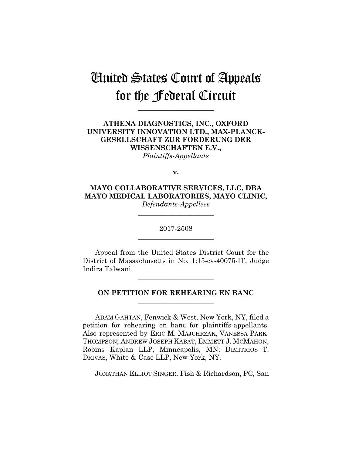# United States Court of Appeals for the Federal Circuit

**\_\_\_\_\_\_\_\_\_\_\_\_\_\_\_\_\_\_\_\_\_\_**

## **ATHENA DIAGNOSTICS, INC., OXFORD UNIVERSITY INNOVATION LTD., MAX-PLANCK-GESELLSCHAFT ZUR FORDERUNG DER WISSENSCHAFTEN E.V.,** *Plaintiffs-Appellants*

**v.**

**MAYO COLLABORATIVE SERVICES, LLC, DBA MAYO MEDICAL LABORATORIES, MAYO CLINIC,** *Defendants-Appellees*

> 2017-2508 **\_\_\_\_\_\_\_\_\_\_\_\_\_\_\_\_\_\_\_\_\_\_**

> **\_\_\_\_\_\_\_\_\_\_\_\_\_\_\_\_\_\_\_\_\_\_**

Appeal from the United States District Court for the District of Massachusetts in No. 1:15-cv-40075-IT, Judge Indira Talwani.

**\_\_\_\_\_\_\_\_\_\_\_\_\_\_\_\_\_\_\_\_\_\_**

## **ON PETITION FOR REHEARING EN BANC \_\_\_\_\_\_\_\_\_\_\_\_\_\_\_\_\_\_\_\_\_\_**

ADAM GAHTAN, Fenwick & West, New York, NY, filed a petition for rehearing en banc for plaintiffs-appellants. Also represented by ERIC M. MAJCHRZAK, VANESSA PARK-THOMPSON; ANDREW JOSEPH KABAT, EMMETT J. MCMAHON, Robins Kaplan LLP, Minneapolis, MN; DIMITRIOS T. DRIVAS, White & Case LLP, New York, NY.

JONATHAN ELLIOT SINGER, Fish & Richardson, PC, San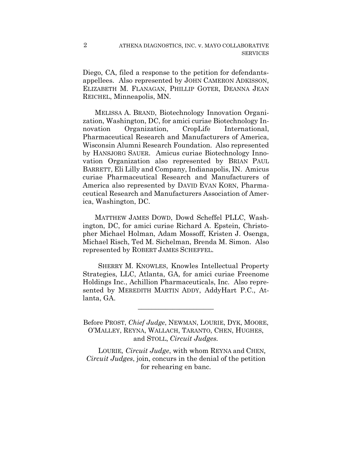Diego, CA, filed a response to the petition for defendantsappellees. Also represented by JOHN CAMERON ADKISSON, ELIZABETH M. FLANAGAN, PHILLIP GOTER, DEANNA JEAN REICHEL, Minneapolis, MN.

 MELISSA A. BRAND, Biotechnology Innovation Organization, Washington, DC, for amici curiae Biotechnology Innovation Organization, CropLife International, Pharmaceutical Research and Manufacturers of America, Wisconsin Alumni Research Foundation. Also represented by HANSJORG SAUER. Amicus curiae Biotechnology Innovation Organization also represented by BRIAN PAUL BARRETT, Eli Lilly and Company, Indianapolis, IN. Amicus curiae Pharmaceutical Research and Manufacturers of America also represented by DAVID EVAN KORN, Pharmaceutical Research and Manufacturers Association of America, Washington, DC.

 MATTHEW JAMES DOWD, Dowd Scheffel PLLC, Washington, DC, for amici curiae Richard A. Epstein, Christopher Michael Holman, Adam Mossoff, Kristen J. Osenga, Michael Risch, Ted M. Sichelman, Brenda M. Simon. Also represented by ROBERT JAMES SCHEFFEL.

 SHERRY M. KNOWLES, Knowles Intellectual Property Strategies, LLC, Atlanta, GA, for amici curiae Freenome Holdings Inc., Achillion Pharmaceuticals, Inc. Also represented by MEREDITH MARTIN ADDY, AddyHart P.C., Atlanta, GA.

 $\overline{\phantom{a}}$  , where  $\overline{\phantom{a}}$  , where  $\overline{\phantom{a}}$  , where  $\overline{\phantom{a}}$ 

Before PROST, *Chief Judge*, NEWMAN, LOURIE, DYK, MOORE, O'MALLEY, REYNA, WALLACH, TARANTO, CHEN, HUGHES, and STOLL, *Circuit Judges.*

LOURIE*, Circuit Judge*, with whom REYNA and CHEN*, Circuit Judges*, join, concurs in the denial of the petition for rehearing en banc.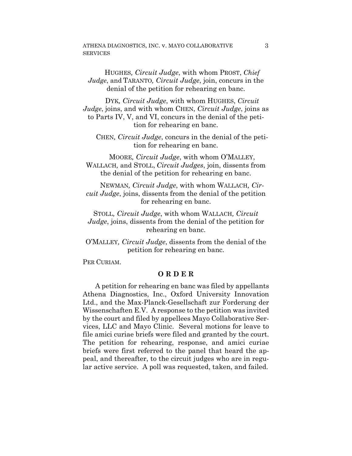#### ATHENA DIAGNOSTICS, INC. v. MAYO COLLABORATIVE **SERVICES**

HUGHES*, Circuit Judge*, with whom PROST, *Chief Judge*, and TARANTO*, Circuit Judge*, join, concurs in the denial of the petition for rehearing en banc.

DYK*, Circuit Judge*, with whom HUGHES, *Circuit Judge*, joins, and with whom CHEN, *Circuit Judge*, joins as to Parts IV, V, and VI, concurs in the denial of the petition for rehearing en banc.

CHEN*, Circuit Judge*, concurs in the denial of the petition for rehearing en banc.

MOORE*, Circuit Judge*, with whom O'MALLEY, WALLACH*,* and STOLL, *Circuit Judges*, join, dissents from the denial of the petition for rehearing en banc.

NEWMAN*, Circuit Judge*, with whom WALLACH*, Circuit Judge*, joins, dissents from the denial of the petition for rehearing en banc.

STOLL*, Circuit Judge*, with whom WALLACH*, Circuit Judge*, joins, dissents from the denial of the petition for rehearing en banc.

O'MALLEY*, Circuit Judge*, dissents from the denial of the petition for rehearing en banc.

PER CURIAM.

#### **O R D E R**

A petition for rehearing en banc was filed by appellants Athena Diagnostics, Inc., Oxford University Innovation Ltd., and the Max-Planck-Gesellschaft zur Forderung der Wissenschaften E.V. A response to the petition was invited by the court and filed by appellees Mayo Collaborative Services, LLC and Mayo Clinic. Several motions for leave to file amici curiae briefs were filed and granted by the court. The petition for rehearing, response, and amici curiae briefs were first referred to the panel that heard the appeal, and thereafter, to the circuit judges who are in regular active service. A poll was requested, taken, and failed.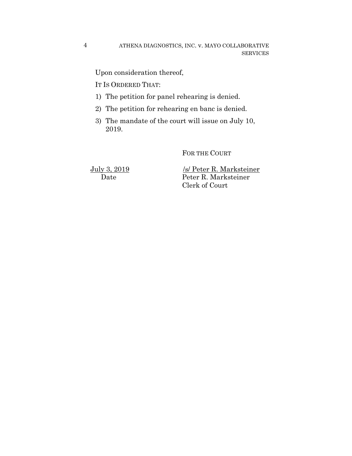ATHENA DIAGNOSTICS, INC. v. MAYO COLLABORATIVE SERVICES

Upon consideration thereof,

IT IS ORDERED THAT:

- 1) The petition for panel rehearing is denied.
- 2) The petition for rehearing en banc is denied.
- 3) The mandate of the court will issue on July 10, 2019.

FOR THE COURT

4

July 3, 2019 /s/ Peter R. Marksteiner Date Peter R. Marksteiner Clerk of Court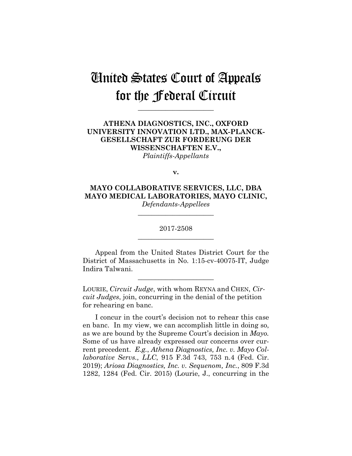## United States Court of Appeals for the Federal Circuit

**\_\_\_\_\_\_\_\_\_\_\_\_\_\_\_\_\_\_\_\_\_\_**

## **ATHENA DIAGNOSTICS, INC., OXFORD UNIVERSITY INNOVATION LTD., MAX-PLANCK-GESELLSCHAFT ZUR FORDERUNG DER WISSENSCHAFTEN E.V.,** *Plaintiffs-Appellants*

**v.**

**MAYO COLLABORATIVE SERVICES, LLC, DBA MAYO MEDICAL LABORATORIES, MAYO CLINIC,** *Defendants-Appellees*

> 2017-2508 **\_\_\_\_\_\_\_\_\_\_\_\_\_\_\_\_\_\_\_\_\_\_**

> **\_\_\_\_\_\_\_\_\_\_\_\_\_\_\_\_\_\_\_\_\_\_**

Appeal from the United States District Court for the District of Massachusetts in No. 1:15-cv-40075-IT, Judge Indira Talwani.

**\_\_\_\_\_\_\_\_\_\_\_\_\_\_\_\_\_\_\_\_\_\_**

LOURIE, *Circuit Judge*, with whom REYNA and CHEN, *Circuit Judges*, join, concurring in the denial of the petition for rehearing en banc.

I concur in the court's decision not to rehear this case en banc. In my view, we can accomplish little in doing so, as we are bound by the Supreme Court's decision in *Mayo.* Some of us have already expressed our concerns over current precedent. *E.g.*, *Athena Diagnostics, Inc. v. Mayo Collaborative Servs., LLC*, 915 F.3d 743, 753 n.4 (Fed. Cir. 2019); *Ariosa Diagnostics, Inc. v. Sequenom, Inc.*, 809 F.3d 1282, 1284 (Fed. Cir. 2015) (Lourie, J., concurring in the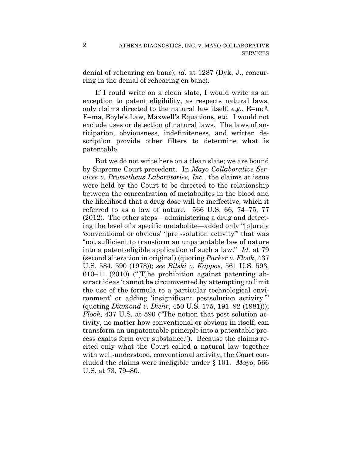denial of rehearing en banc); *id.* at 1287 (Dyk, J., concurring in the denial of rehearing en banc).

If I could write on a clean slate, I would write as an exception to patent eligibility, as respects natural laws, only claims directed to the natural law itself, *e.g.*, E=mc2, F=ma, Boyle's Law, Maxwell's Equations, etc. I would not exclude uses or detection of natural laws. The laws of anticipation, obviousness, indefiniteness, and written description provide other filters to determine what is patentable.

But we do not write here on a clean slate; we are bound by Supreme Court precedent. In *Mayo Collaborative Services v. Prometheus Laboratories, Inc.*, the claims at issue were held by the Court to be directed to the relationship between the concentration of metabolites in the blood and the likelihood that a drug dose will be ineffective, which it referred to as a law of nature. 566 U.S. 66, 74–75, 77 (2012). The other steps—administering a drug and detecting the level of a specific metabolite—added only "[p]urely 'conventional or obvious' '[pre]-solution activity'" that was "not sufficient to transform an unpatentable law of nature into a patent-eligible application of such a law." *Id.* at 79 (second alteration in original) (quoting *Parker v. Flook*, 437 U.S. 584, 590 (1978)); *see Bilski v. Kappos*, 561 U.S. 593, 610–11 (2010) ("[T]he prohibition against patenting abstract ideas 'cannot be circumvented by attempting to limit the use of the formula to a particular technological environment' or adding 'insignificant postsolution activity.'" (quoting *Diamond v. Diehr*, 450 U.S. 175, 191–92 (1981))); *Flook*, 437 U.S. at 590 ("The notion that post-solution activity, no matter how conventional or obvious in itself, can transform an unpatentable principle into a patentable process exalts form over substance."). Because the claims recited only what the Court called a natural law together with well-understood, conventional activity, the Court concluded the claims were ineligible under § 101. *Mayo*, 566 U.S. at 73, 79–80.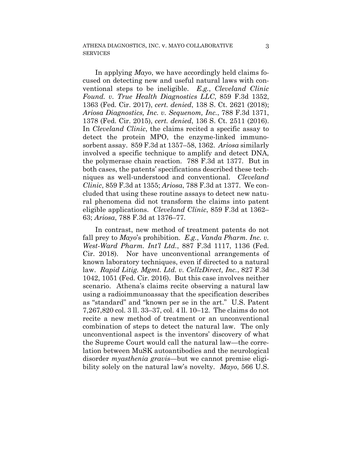In applying *Mayo*, we have accordingly held claims focused on detecting new and useful natural laws with conventional steps to be ineligible. *E.g.*, *Cleveland Clinic Found. v. True Health Diagnostics LLC*, 859 F.3d 1352, 1363 (Fed. Cir. 2017), *cert. denied*, 138 S. Ct. 2621 (2018); *Ariosa Diagnostics, Inc. v. Sequenom, Inc.*, 788 F.3d 1371, 1378 (Fed. Cir. 2015), *cert. denied*, 136 S. Ct. 2511 (2016). In *Cleveland Clinic*, the claims recited a specific assay to detect the protein MPO, the enzyme-linked immunosorbent assay. 859 F.3d at 1357–58, 1362. *Ariosa* similarly involved a specific technique to amplify and detect DNA, the polymerase chain reaction. 788 F.3d at 1377. But in both cases, the patents' specifications described these techniques as well-understood and conventional. *Cleveland Clinic*, 859 F.3d at 1355; *Ariosa*, 788 F.3d at 1377. We concluded that using these routine assays to detect new natural phenomena did not transform the claims into patent eligible applications. *Cleveland Clinic*, 859 F.3d at 1362– 63; *Ariosa*, 788 F.3d at 1376–77.

In contrast, new method of treatment patents do not fall prey to *Mayo*'s prohibition. *E.g.*, *Vanda Pharm. Inc. v. West-Ward Pharm. Int'l Ltd.*, 887 F.3d 1117, 1136 (Fed. Cir. 2018). Nor have unconventional arrangements of known laboratory techniques, even if directed to a natural law. *Rapid Litig. Mgmt. Ltd. v. CellzDirect, Inc.*, 827 F.3d 1042, 1051 (Fed. Cir. 2016). But this case involves neither scenario. Athena's claims recite observing a natural law using a radioimmunoassay that the specification describes as "standard" and "known per se in the art." U.S. Patent 7,267,820 col. 3 ll. 33–37, col. 4 ll. 10–12. The claims do not recite a new method of treatment or an unconventional combination of steps to detect the natural law. The only unconventional aspect is the inventors' discovery of what the Supreme Court would call the natural law—the correlation between MuSK autoantibodies and the neurological disorder *myasthenia gravis*—but we cannot premise eligibility solely on the natural law's novelty. *Mayo*, 566 U.S.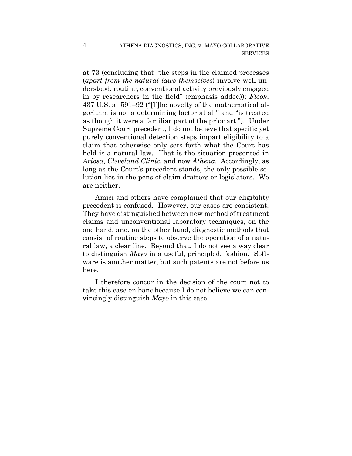at 73 (concluding that "the steps in the claimed processes (*apart from the natural laws themselves*) involve well-understood, routine, conventional activity previously engaged in by researchers in the field" (emphasis added)); *Flook*, 437 U.S. at 591–92 ("[T]he novelty of the mathematical algorithm is not a determining factor at all" and "is treated as though it were a familiar part of the prior art."). Under Supreme Court precedent, I do not believe that specific yet purely conventional detection steps impart eligibility to a claim that otherwise only sets forth what the Court has held is a natural law. That is the situation presented in *Ariosa*, *Cleveland Clinic*, and now *Athena*. Accordingly, as long as the Court's precedent stands, the only possible solution lies in the pens of claim drafters or legislators. We are neither.

Amici and others have complained that our eligibility precedent is confused. However, our cases are consistent. They have distinguished between new method of treatment claims and unconventional laboratory techniques, on the one hand, and, on the other hand, diagnostic methods that consist of routine steps to observe the operation of a natural law, a clear line. Beyond that, I do not see a way clear to distinguish *Mayo* in a useful, principled, fashion. Software is another matter, but such patents are not before us here.

I therefore concur in the decision of the court not to take this case en banc because I do not believe we can convincingly distinguish *Mayo* in this case.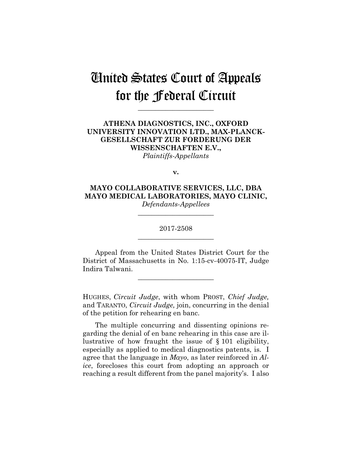# United States Court of Appeals for the Federal Circuit

**\_\_\_\_\_\_\_\_\_\_\_\_\_\_\_\_\_\_\_\_\_\_**

## **ATHENA DIAGNOSTICS, INC., OXFORD UNIVERSITY INNOVATION LTD., MAX-PLANCK-GESELLSCHAFT ZUR FORDERUNG DER WISSENSCHAFTEN E.V.,** *Plaintiffs-Appellants*

**v.**

**MAYO COLLABORATIVE SERVICES, LLC, DBA MAYO MEDICAL LABORATORIES, MAYO CLINIC,** *Defendants-Appellees*

> 2017-2508 **\_\_\_\_\_\_\_\_\_\_\_\_\_\_\_\_\_\_\_\_\_\_**

> **\_\_\_\_\_\_\_\_\_\_\_\_\_\_\_\_\_\_\_\_\_\_**

Appeal from the United States District Court for the District of Massachusetts in No. 1:15-cv-40075-IT, Judge Indira Talwani.

**\_\_\_\_\_\_\_\_\_\_\_\_\_\_\_\_\_\_\_\_\_\_**

HUGHES, *Circuit Judge*, with whom PROST, *Chief Judge,*  and TARANTO, *Circuit Judge,* join, concurring in the denial of the petition for rehearing en banc.

The multiple concurring and dissenting opinions regarding the denial of en banc rehearing in this case are illustrative of how fraught the issue of § 101 eligibility, especially as applied to medical diagnostics patents, is. I agree that the language in *Mayo*, as later reinforced in *Alice*, forecloses this court from adopting an approach or reaching a result different from the panel majority's. I also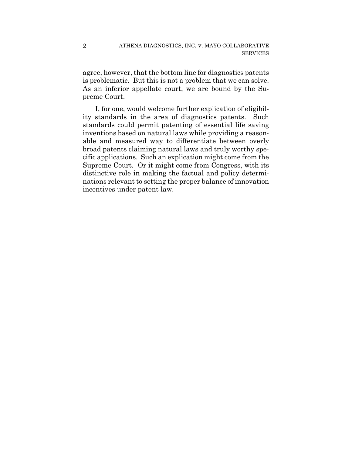agree, however, that the bottom line for diagnostics patents is problematic. But this is not a problem that we can solve. As an inferior appellate court, we are bound by the Supreme Court.

I, for one, would welcome further explication of eligibility standards in the area of diagnostics patents. Such standards could permit patenting of essential life saving inventions based on natural laws while providing a reasonable and measured way to differentiate between overly broad patents claiming natural laws and truly worthy specific applications. Such an explication might come from the Supreme Court. Or it might come from Congress, with its distinctive role in making the factual and policy determinations relevant to setting the proper balance of innovation incentives under patent law.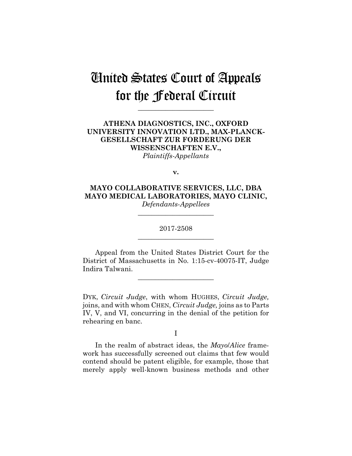# United States Court of Appeals for the Federal Circuit

**\_\_\_\_\_\_\_\_\_\_\_\_\_\_\_\_\_\_\_\_\_\_**

## **ATHENA DIAGNOSTICS, INC., OXFORD UNIVERSITY INNOVATION LTD., MAX-PLANCK-GESELLSCHAFT ZUR FORDERUNG DER WISSENSCHAFTEN E.V.,** *Plaintiffs-Appellants*

**v.**

**MAYO COLLABORATIVE SERVICES, LLC, DBA MAYO MEDICAL LABORATORIES, MAYO CLINIC,** *Defendants-Appellees*

> 2017-2508 **\_\_\_\_\_\_\_\_\_\_\_\_\_\_\_\_\_\_\_\_\_\_**

> **\_\_\_\_\_\_\_\_\_\_\_\_\_\_\_\_\_\_\_\_\_\_**

Appeal from the United States District Court for the District of Massachusetts in No. 1:15-cv-40075-IT, Judge Indira Talwani.

**\_\_\_\_\_\_\_\_\_\_\_\_\_\_\_\_\_\_\_\_\_\_**

DYK, *Circuit Judge*, with whom HUGHES, *Circuit Judge,* joins, and with whom CHEN, *Circuit Judge,* joins as to Parts IV, V, and VI, concurring in the denial of the petition for rehearing en banc.

I

In the realm of abstract ideas, the *Mayo*/*Alice* framework has successfully screened out claims that few would contend should be patent eligible, for example, those that merely apply well-known business methods and other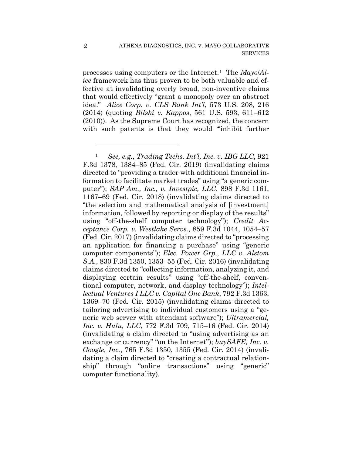processes using computers or the Internet.1 The *Mayo*/*Alice* framework has thus proven to be both valuable and effective at invalidating overly broad, non-inventive claims that would effectively "grant a monopoly over an abstract idea." *Alice Corp. v. CLS Bank Int'l*, 573 U.S. 208, 216 (2014) (quoting *Bilski v. Kappos*, 561 U.S. 593, 611–612 (2010)). As the Supreme Court has recognized, the concern with such patents is that they would "'inhibit further

<u>.</u>

<sup>1</sup> *See, e.g., Trading Techs. Int'l, Inc. v. IBG LLC*, 921 F.3d 1378, 1384–85 (Fed. Cir. 2019) (invalidating claims directed to "providing a trader with additional financial information to facilitate market trades" using "a generic computer"); *SAP Am., Inc., v. Investpic, LLC*, 898 F.3d 1161, 1167–69 (Fed. Cir. 2018) (invalidating claims directed to "the selection and mathematical analysis of [investment] information, followed by reporting or display of the results" using "off-the-shelf computer technology"); *Credit Acceptance Corp. v. Westlake Servs.*, 859 F.3d 1044, 1054–57 (Fed. Cir. 2017) (invalidating claims directed to "processing an application for financing a purchase" using "generic computer components"); *Elec. Power Grp., LLC v. Alstom S.A.*, 830 F.3d 1350, 1353–55 (Fed. Cir. 2016) (invalidating claims directed to "collecting information, analyzing it, and displaying certain results" using "off-the-shelf, conventional computer, network, and display technology"); *Intellectual Ventures I LLC v. Capital One Bank*, 792 F.3d 1363, 1369–70 (Fed. Cir. 2015) (invalidating claims directed to tailoring advertising to individual customers using a "generic web server with attendant software"); *Ultramercial, Inc. v. Hulu, LLC*, 772 F.3d 709, 715–16 (Fed. Cir. 2014) (invalidating a claim directed to "using advertising as an exchange or currency" "on the Internet"); *buySAFE, Inc. v. Google, Inc.*, 765 F.3d 1350, 1355 (Fed. Cir. 2014) (invalidating a claim directed to "creating a contractual relationship" through "online transactions" using "generic" computer functionality).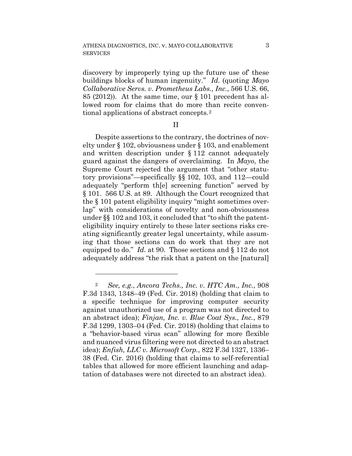discovery by improperly tying up the future use of' these buildings blocks of human ingenuity." *Id.* (quoting *Mayo Collaborative Servs. v. Prometheus Labs., Inc.*, 566 U.S. 66, 85 (2012)). At the same time, our § 101 precedent has allowed room for claims that do more than recite conventional applications of abstract concepts.2

### II

Despite assertions to the contrary, the doctrines of novelty under § 102, obviousness under § 103, and enablement and written description under § 112 cannot adequately guard against the dangers of overclaiming. In *Mayo*, the Supreme Court rejected the argument that "other statutory provisions"—specifically §§ 102, 103, and 112—could adequately "perform th[e] screening function" served by § 101. 566 U.S. at 89. Although the Court recognized that the § 101 patent eligibility inquiry "might sometimes overlap" with considerations of novelty and non-obviousness under §§ 102 and 103, it concluded that "to shift the patenteligibility inquiry entirely to these later sections risks creating significantly greater legal uncertainty, while assuming that those sections can do work that they are not equipped to do." *Id.* at 90. Those sections and § 112 do not adequately address "the risk that a patent on the [natural]

<sup>2</sup> *See, e.g.*, *Ancora Techs., Inc. v. HTC Am., Inc.*, 908 F.3d 1343, 1348–49 (Fed. Cir. 2018) (holding that claim to a specific technique for improving computer security against unauthorized use of a program was not directed to an abstract idea); *Finjan, Inc. v. Blue Coat Sys., Inc.*, 879 F.3d 1299, 1303–04 (Fed. Cir. 2018) (holding that claims to a "behavior-based virus scan" allowing for more flexible and nuanced virus filtering were not directed to an abstract idea); *Enfish, LLC v. Microsoft Corp.*, 822 F.3d 1327, 1336– 38 (Fed. Cir. 2016) (holding that claims to self-referential tables that allowed for more efficient launching and adaptation of databases were not directed to an abstract idea).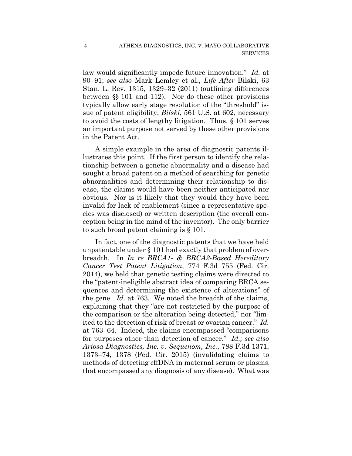law would significantly impede future innovation." *Id.* at 90–91; *see also* Mark Lemley et al., *Life After* Bilski, 63 Stan. L. Rev. 1315, 1329–32 (2011) (outlining differences between §§ 101 and 112). Nor do these other provisions typically allow early stage resolution of the "threshold" issue of patent eligibility, *Bilski*, 561 U.S. at 602, necessary to avoid the costs of lengthy litigation. Thus, § 101 serves an important purpose not served by these other provisions in the Patent Act.

A simple example in the area of diagnostic patents illustrates this point. If the first person to identify the relationship between a genetic abnormality and a disease had sought a broad patent on a method of searching for genetic abnormalities and determining their relationship to disease, the claims would have been neither anticipated nor obvious. Nor is it likely that they would they have been invalid for lack of enablement (since a representative species was disclosed) or written description (the overall conception being in the mind of the inventor). The only barrier to such broad patent claiming is § 101.

In fact, one of the diagnostic patents that we have held unpatentable under § 101 had exactly that problem of overbreadth. In *In re BRCA1- & BRCA2-Based Hereditary Cancer Test Patent Litigation*, 774 F.3d 755 (Fed. Cir. 2014), we held that genetic testing claims were directed to the "patent-ineligible abstract idea of comparing BRCA sequences and determining the existence of alterations" of the gene. *Id.* at 763. We noted the breadth of the claims, explaining that they "are not restricted by the purpose of the comparison or the alteration being detected," nor "limited to the detection of risk of breast or ovarian cancer." *Id.*  at 763–64. Indeed, the claims encompassed "comparisons for purposes other than detection of cancer." *Id.; see also Ariosa Diagnostics, Inc. v. Sequenom, Inc.*, 788 F.3d 1371, 1373–74, 1378 (Fed. Cir. 2015) (invalidating claims to methods of detecting cffDNA in maternal serum or plasma that encompassed any diagnosis of any disease). What was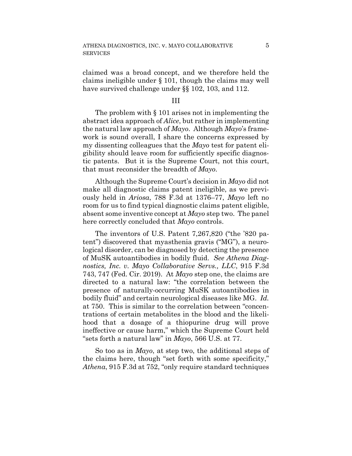claimed was a broad concept, and we therefore held the claims ineligible under § 101, though the claims may well have survived challenge under §§ 102, 103, and 112.

#### III

The problem with § 101 arises not in implementing the abstract idea approach of *Alice*, but rather in implementing the natural law approach of *Mayo*. Although *Mayo*'s framework is sound overall, I share the concerns expressed by my dissenting colleagues that the *Mayo* test for patent eligibility should leave room for sufficiently specific diagnostic patents. But it is the Supreme Court, not this court, that must reconsider the breadth of *Mayo*.

Although the Supreme Court's decision in *Mayo* did not make all diagnostic claims patent ineligible, as we previously held in *Ariosa*, 788 F.3d at 1376–77, *Mayo* left no room for us to find typical diagnostic claims patent eligible, absent some inventive concept at *Mayo* step two. The panel here correctly concluded that *Mayo* controls.

The inventors of U.S. Patent 7,267,820 ("the '820 patent") discovered that myasthenia gravis ("MG"), a neurological disorder, can be diagnosed by detecting the presence of MuSK autoantibodies in bodily fluid. *See Athena Diagnostics, Inc. v. Mayo Collaborative Servs., LLC*, 915 F.3d 743, 747 (Fed. Cir. 2019). At *Mayo* step one, the claims are directed to a natural law: "the correlation between the presence of naturally-occurring MuSK autoantibodies in bodily fluid" and certain neurological diseases like MG. *Id.*  at 750. This is similar to the correlation between "concentrations of certain metabolites in the blood and the likelihood that a dosage of a thiopurine drug will prove ineffective or cause harm," which the Supreme Court held "sets forth a natural law" in *Mayo*, 566 U.S. at 77.

So too as in *Mayo*, at step two, the additional steps of the claims here, though "set forth with some specificity," *Athena*, 915 F.3d at 752, "only require standard techniques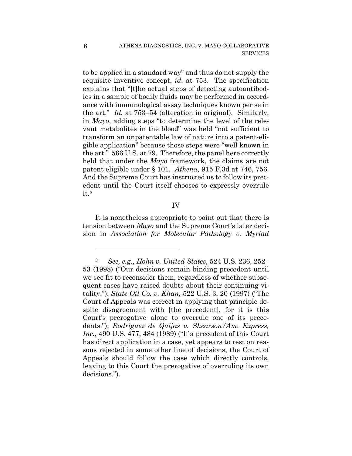to be applied in a standard way" and thus do not supply the requisite inventive concept, *id.* at 753. The specification explains that "[t]he actual steps of detecting autoantibodies in a sample of bodily fluids may be performed in accordance with immunological assay techniques known per se in the art." *Id.* at 753–54 (alteration in original). Similarly, in *Mayo*, adding steps "to determine the level of the relevant metabolites in the blood" was held "not sufficient to transform an unpatentable law of nature into a patent-eligible application" because those steps were "well known in the art." 566 U.S. at 79. Therefore, the panel here correctly held that under the *Mayo* framework, the claims are not patent eligible under § 101. *Athena*, 915 F.3d at 746, 756. And the Supreme Court has instructed us to follow its precedent until the Court itself chooses to expressly overrule it.3

#### IV

It is nonetheless appropriate to point out that there is tension between *Mayo* and the Supreme Court's later decision in *Association for Molecular Pathology v. Myriad* 

<sup>3</sup> *See, e.g.*, *Hohn v. United States*, 524 U.S. 236, 252– 53 (1998) ("Our decisions remain binding precedent until we see fit to reconsider them, regardless of whether subsequent cases have raised doubts about their continuing vitality."); *State Oil Co. v. Khan*, 522 U.S. 3, 20 (1997) ("The Court of Appeals was correct in applying that principle despite disagreement with [the precedent], for it is this Court's prerogative alone to overrule one of its precedents."); *Rodriguez de Quijas v. Shearson/Am. Express, Inc.*, 490 U.S. 477, 484 (1989) ("If a precedent of this Court has direct application in a case, yet appears to rest on reasons rejected in some other line of decisions, the Court of Appeals should follow the case which directly controls, leaving to this Court the prerogative of overruling its own decisions.").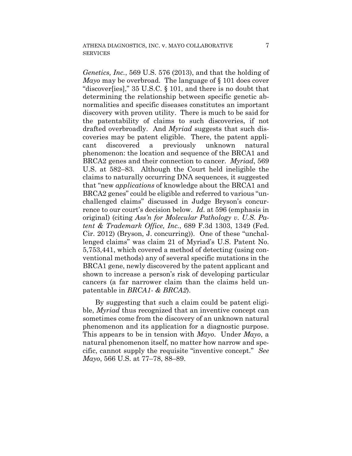*Genetics, Inc.*, 569 U.S. 576 (2013), and that the holding of *Mayo* may be overbroad. The language of § 101 does cover "discover[ies]," 35 U.S.C. § 101, and there is no doubt that determining the relationship between specific genetic abnormalities and specific diseases constitutes an important discovery with proven utility. There is much to be said for the patentability of claims to such discoveries, if not drafted overbroadly. And *Myriad* suggests that such discoveries may be patent eligible. There, the patent applicant discovered a previously unknown natural phenomenon: the location and sequence of the BRCA1 and BRCA2 genes and their connection to cancer. *Myriad*, 569 U.S. at 582–83. Although the Court held ineligible the claims to naturally occurring DNA sequences, it suggested that "new *applications* of knowledge about the BRCA1 and BRCA2 genes" could be eligible and referred to various "unchallenged claims" discussed in Judge Bryson's concurrence to our court's decision below. *Id.* at 596 (emphasis in original) (citing *Ass'n for Molecular Pathology v. U.S. Patent & Trademark Office, Inc.*, 689 F.3d 1303, 1349 (Fed. Cir. 2012) (Bryson, J. concurring)). One of these "unchallenged claims" was claim 21 of Myriad's U.S. Patent No. 5,753,441, which covered a method of detecting (using conventional methods) any of several specific mutations in the BRCA1 gene, newly discovered by the patent applicant and shown to increase a person's risk of developing particular cancers (a far narrower claim than the claims held unpatentable in *BRCA1- & BRCA2*).

By suggesting that such a claim could be patent eligible, *Myriad* thus recognized that an inventive concept can sometimes come from the discovery of an unknown natural phenomenon and its application for a diagnostic purpose. This appears to be in tension with *Mayo*. Under *Mayo*, a natural phenomenon itself, no matter how narrow and specific, cannot supply the requisite "inventive concept." *See Mayo*, 566 U.S. at 77–78, 88–89.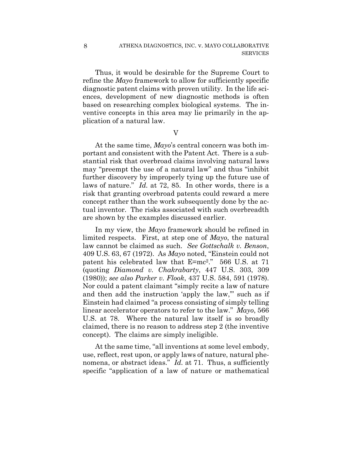Thus, it would be desirable for the Supreme Court to refine the *Mayo* framework to allow for sufficiently specific diagnostic patent claims with proven utility. In the life sciences, development of new diagnostic methods is often based on researching complex biological systems. The inventive concepts in this area may lie primarily in the application of a natural law.

V

At the same time, *Mayo*'s central concern was both important and consistent with the Patent Act. There is a substantial risk that overbroad claims involving natural laws may "preempt the use of a natural law" and thus "inhibit further discovery by improperly tying up the future use of laws of nature." *Id.* at 72, 85. In other words, there is a risk that granting overbroad patents could reward a mere concept rather than the work subsequently done by the actual inventor. The risks associated with such overbreadth are shown by the examples discussed earlier.

In my view, the *Mayo* framework should be refined in limited respects. First, at step one of *Mayo*, the natural law cannot be claimed as such. *See Gottschalk v. Benson*, 409 U.S. 63, 67 (1972). As *Mayo* noted, "Einstein could not patent his celebrated law that E=mc2." 566 U.S. at 71 (quoting *Diamond v. Chakrabarty*, 447 U.S. 303, 309 (1980)); *see also Parker v. Flook*, 437 U.S. 584, 591 (1978). Nor could a patent claimant "simply recite a law of nature and then add the instruction 'apply the law," such as if Einstein had claimed "a process consisting of simply telling linear accelerator operators to refer to the law." *Mayo*, 566 U.S. at 78. Where the natural law itself is so broadly claimed, there is no reason to address step 2 (the inventive concept). The claims are simply ineligible.

At the same time, "all inventions at some level embody, use, reflect, rest upon, or apply laws of nature, natural phenomena, or abstract ideas." *Id.* at 71. Thus, a sufficiently specific "application of a law of nature or mathematical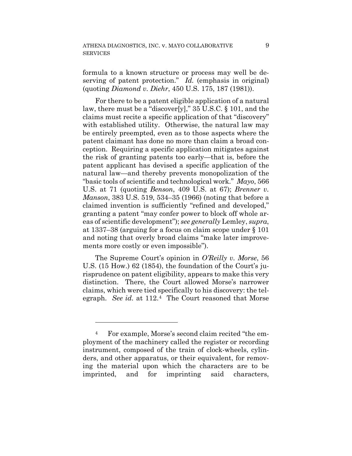formula to a known structure or process may well be deserving of patent protection." *Id.* (emphasis in original) (quoting *Diamond v. Diehr*, 450 U.S. 175, 187 (1981)).

For there to be a patent eligible application of a natural law, there must be a "discover[y]," 35 U.S.C. § 101, and the claims must recite a specific application of that "discovery" with established utility. Otherwise, the natural law may be entirely preempted, even as to those aspects where the patent claimant has done no more than claim a broad conception. Requiring a specific application mitigates against the risk of granting patents too early—that is, before the patent applicant has devised a specific application of the natural law—and thereby prevents monopolization of the "basic tools of scientific and technological work." *Mayo*, 566 U.S. at 71 (quoting *Benson*, 409 U.S. at 67); *Brenner v. Manson*, 383 U.S. 519, 534–35 (1966) (noting that before a claimed invention is sufficiently "refined and developed," granting a patent "may confer power to block off whole areas of scientific development"); *see generally* Lemley, *supra*, at 1337–38 (arguing for a focus on claim scope under § 101 and noting that overly broad claims "make later improvements more costly or even impossible").

The Supreme Court's opinion in *O'Reilly v. Morse*, 56 U.S. (15 How.) 62 (1854), the foundation of the Court's jurisprudence on patent eligibility, appears to make this very distinction. There, the Court allowed Morse's narrower claims, which were tied specifically to his discovery: the telegraph. *See id.* at 112.4 The Court reasoned that Morse

<sup>4</sup> For example, Morse's second claim recited "the employment of the machinery called the register or recording instrument, composed of the train of clock-wheels, cylinders, and other apparatus, or their equivalent, for removing the material upon which the characters are to be imprinted, and for imprinting said characters,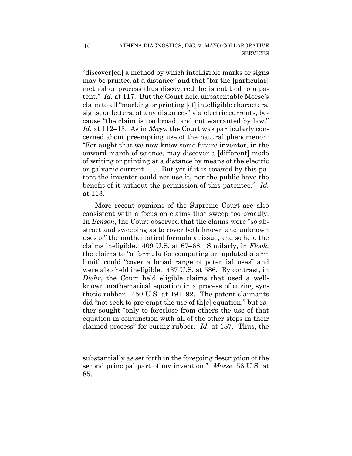"discover[ed] a method by which intelligible marks or signs may be printed at a distance" and that "for the [particular] method or process thus discovered, he is entitled to a patent." *Id.* at 117. But the Court held unpatentable Morse's claim to all "marking or printing [of] intelligible characters, signs, or letters, at any distances" via electric currents, because "the claim is too broad, and not warranted by law." *Id.* at 112–13. As in *Mayo*, the Court was particularly concerned about preempting use of the natural phenomenon: "For aught that we now know some future inventor, in the onward march of science, may discover a [different] mode of writing or printing at a distance by means of the electric or galvanic current . . . . But yet if it is covered by this patent the inventor could not use it, nor the public have the benefit of it without the permission of this patentee." *Id.*  at 113.

More recent opinions of the Supreme Court are also consistent with a focus on claims that sweep too broadly. In *Benson*, the Court observed that the claims were "so abstract and sweeping as to cover both known and unknown uses of" the mathematical formula at issue, and so held the claims ineligible. 409 U.S. at 67–68. Similarly, in *Flook*, the claims to "a formula for computing an updated alarm limit" could "cover a broad range of potential uses" and were also held ineligible. 437 U.S. at 586. By contrast, in *Diehr*, the Court held eligible claims that used a wellknown mathematical equation in a process of curing synthetic rubber. 450 U.S. at 191–92. The patent claimants did "not seek to pre-empt the use of th[e] equation," but rather sought "only to foreclose from others the use of that equation in conjunction with all of the other steps in their claimed process" for curing rubber. *Id.* at 187. Thus, the

substantially as set forth in the foregoing description of the second principal part of my invention." *Morse*, 56 U.S. at 85.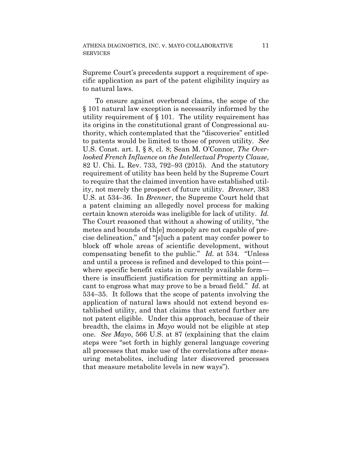Supreme Court's precedents support a requirement of specific application as part of the patent eligibility inquiry as to natural laws.

To ensure against overbroad claims, the scope of the § 101 natural law exception is necessarily informed by the utility requirement of § 101. The utility requirement has its origins in the constitutional grant of Congressional authority, which contemplated that the "discoveries" entitled to patents would be limited to those of proven utility. *See*  U.S. Const. art. I, § 8, cl. 8; Sean M. O'Connor, *The Overlooked French Influence on the Intellectual Property Clause*, 82 U. Chi. L. Rev. 733, 792–93 (2015). And the statutory requirement of utility has been held by the Supreme Court to require that the claimed invention have established utility, not merely the prospect of future utility. *Brenner*, 383 U.S. at 534–36. In *Brenner*, the Supreme Court held that a patent claiming an allegedly novel process for making certain known steroids was ineligible for lack of utility. *Id.*  The Court reasoned that without a showing of utility, "the metes and bounds of th[e] monopoly are not capable of precise delineation," and "[s]uch a patent may confer power to block off whole areas of scientific development, without compensating benefit to the public." *Id.* at 534. "Unless and until a process is refined and developed to this point where specific benefit exists in currently available form there is insufficient justification for permitting an applicant to engross what may prove to be a broad field." *Id.* at 534–35. It follows that the scope of patents involving the application of natural laws should not extend beyond established utility, and that claims that extend further are not patent eligible. Under this approach, because of their breadth, the claims in *Mayo* would not be eligible at step one. *See Mayo*, 566 U.S. at 87 (explaining that the claim steps were "set forth in highly general language covering all processes that make use of the correlations after measuring metabolites, including later discovered processes that measure metabolite levels in new ways").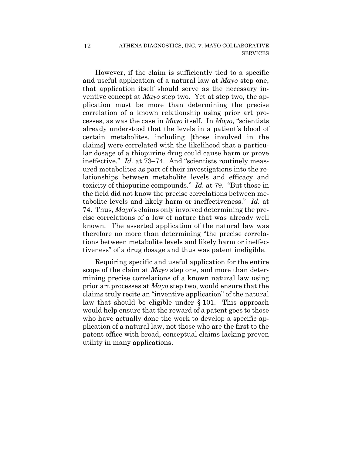However, if the claim is sufficiently tied to a specific and useful application of a natural law at *Mayo* step one, that application itself should serve as the necessary inventive concept at *Mayo* step two. Yet at step two, the application must be more than determining the precise correlation of a known relationship using prior art processes, as was the case in *Mayo* itself. In *Mayo*, "scientists already understood that the levels in a patient's blood of certain metabolites, including [those involved in the claims] were correlated with the likelihood that a particular dosage of a thiopurine drug could cause harm or prove ineffective." *Id.* at 73–74. And "scientists routinely measured metabolites as part of their investigations into the relationships between metabolite levels and efficacy and toxicity of thiopurine compounds." *Id.* at 79. "But those in the field did not know the precise correlations between metabolite levels and likely harm or ineffectiveness." *Id.* at 74. Thus, *Mayo*'s claims only involved determining the precise correlations of a law of nature that was already well known. The asserted application of the natural law was therefore no more than determining "the precise correlations between metabolite levels and likely harm or ineffectiveness" of a drug dosage and thus was patent ineligible.

Requiring specific and useful application for the entire scope of the claim at *Mayo* step one, and more than determining precise correlations of a known natural law using prior art processes at *Mayo* step two, would ensure that the claims truly recite an "inventive application" of the natural law that should be eligible under § 101. This approach would help ensure that the reward of a patent goes to those who have actually done the work to develop a specific application of a natural law, not those who are the first to the patent office with broad, conceptual claims lacking proven utility in many applications.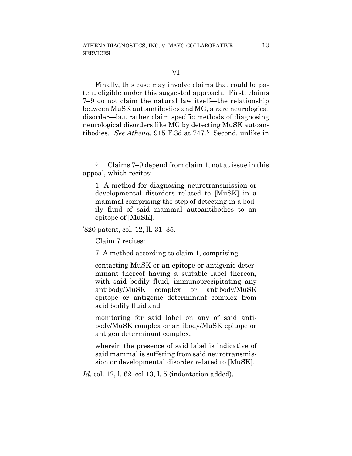Finally, this case may involve claims that could be patent eligible under this suggested approach. First, claims 7–9 do not claim the natural law itself—the relationship between MuSK autoantibodies and MG, a rare neurological disorder—but rather claim specific methods of diagnosing neurological disorders like MG by detecting MuSK autoantibodies. *See Athena*, 915 F.3d at 747.5 Second, unlike in

'820 patent, col. 12, ll. 31–35.

Claim 7 recites:

<u>.</u>

7. A method according to claim 1, comprising

contacting MuSK or an epitope or antigenic determinant thereof having a suitable label thereon, with said bodily fluid, immunoprecipitating any antibody/MuSK complex or antibody/MuSK epitope or antigenic determinant complex from said bodily fluid and

monitoring for said label on any of said antibody/MuSK complex or antibody/MuSK epitope or antigen determinant complex,

wherein the presence of said label is indicative of said mammal is suffering from said neurotransmission or developmental disorder related to [MuSK].

*Id.* col. 12, l. 62–col 13, l. 5 (indentation added).

<sup>5</sup> Claims 7–9 depend from claim 1, not at issue in this appeal, which recites:

<sup>1.</sup> A method for diagnosing neurotransmission or developmental disorders related to [MuSK] in a mammal comprising the step of detecting in a bodily fluid of said mammal autoantibodies to an epitope of [MuSK].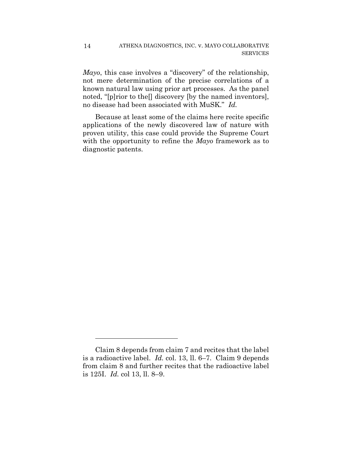14

<u>.</u>

*Mayo*, this case involves a "discovery" of the relationship, not mere determination of the precise correlations of a known natural law using prior art processes. As the panel noted, "[p]rior to the<sup>[]</sup> discovery [by the named inventors], no disease had been associated with MuSK." *Id.*

Because at least some of the claims here recite specific applications of the newly discovered law of nature with proven utility, this case could provide the Supreme Court with the opportunity to refine the *Mayo* framework as to diagnostic patents.

Claim 8 depends from claim 7 and recites that the label is a radioactive label. *Id.* col. 13, ll. 6–7. Claim 9 depends from claim 8 and further recites that the radioactive label is 125I. *Id.* col 13, ll. 8–9.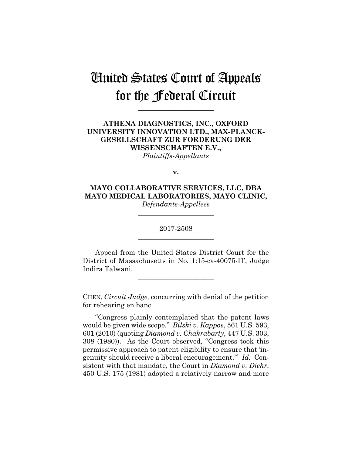## United States Court of Appeals for the Federal Circuit

**\_\_\_\_\_\_\_\_\_\_\_\_\_\_\_\_\_\_\_\_\_\_**

## **ATHENA DIAGNOSTICS, INC., OXFORD UNIVERSITY INNOVATION LTD., MAX-PLANCK-GESELLSCHAFT ZUR FORDERUNG DER WISSENSCHAFTEN E.V.,** *Plaintiffs-Appellants*

**v.**

**MAYO COLLABORATIVE SERVICES, LLC, DBA MAYO MEDICAL LABORATORIES, MAYO CLINIC,** *Defendants-Appellees*

> 2017-2508 **\_\_\_\_\_\_\_\_\_\_\_\_\_\_\_\_\_\_\_\_\_\_**

> **\_\_\_\_\_\_\_\_\_\_\_\_\_\_\_\_\_\_\_\_\_\_**

Appeal from the United States District Court for the District of Massachusetts in No. 1:15-cv-40075-IT, Judge Indira Talwani.

**\_\_\_\_\_\_\_\_\_\_\_\_\_\_\_\_\_\_\_\_\_\_**

CHEN, *Circuit Judge,* concurring with denial of the petition for rehearing en banc.

"Congress plainly contemplated that the patent laws would be given wide scope." *Bilski v. Kappos*, 561 U.S. 593, 601 (2010) (quoting *Diamond v. Chakrabarty*, 447 U.S. 303, 308 (1980)). As the Court observed, "Congress took this permissive approach to patent eligibility to ensure that 'ingenuity should receive a liberal encouragement.'" *Id.* Consistent with that mandate, the Court in *Diamond v. Diehr*, 450 U.S. 175 (1981) adopted a relatively narrow and more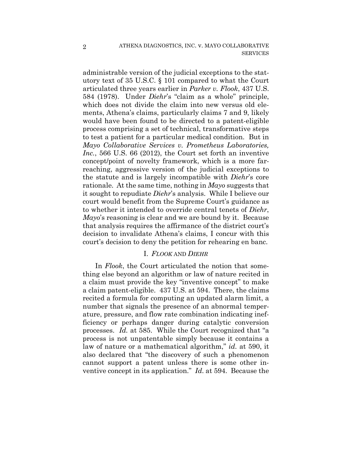administrable version of the judicial exceptions to the statutory text of 35 U.S.C. § 101 compared to what the Court articulated three years earlier in *Parker v. Flook*, 437 U.S. 584 (1978). Under *Diehr*'s "claim as a whole" principle, which does not divide the claim into new versus old elements, Athena's claims, particularly claims 7 and 9, likely would have been found to be directed to a patent-eligible process comprising a set of technical, transformative steps to test a patient for a particular medical condition. But in *Mayo Collaborative Services v. Prometheus Laboratories, Inc.*, 566 U.S. 66 (2012), the Court set forth an inventive concept/point of novelty framework, which is a more farreaching, aggressive version of the judicial exceptions to the statute and is largely incompatible with *Diehr*'s core rationale. At the same time, nothing in *Mayo* suggests that it sought to repudiate *Diehr*'s analysis. While I believe our court would benefit from the Supreme Court's guidance as to whether it intended to override central tenets of *Diehr*, *Mayo*'s reasoning is clear and we are bound by it. Because that analysis requires the affirmance of the district court's decision to invalidate Athena's claims, I concur with this court's decision to deny the petition for rehearing en banc.

#### I. *FLOOK* AND *DIEHR*

In *Flook*, the Court articulated the notion that something else beyond an algorithm or law of nature recited in a claim must provide the key "inventive concept" to make a claim patent-eligible. 437 U.S. at 594. There, the claims recited a formula for computing an updated alarm limit, a number that signals the presence of an abnormal temperature, pressure, and flow rate combination indicating inefficiency or perhaps danger during catalytic conversion processes. *Id.* at 585. While the Court recognized that "a process is not unpatentable simply because it contains a law of nature or a mathematical algorithm," *id.* at 590, it also declared that "the discovery of such a phenomenon cannot support a patent unless there is some other inventive concept in its application." *Id*. at 594. Because the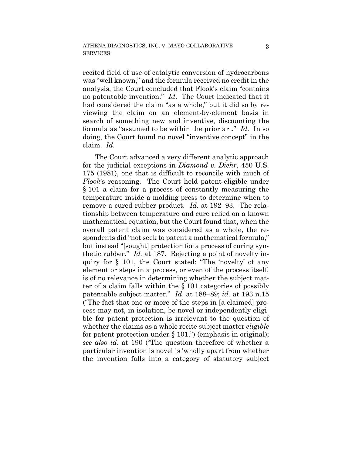recited field of use of catalytic conversion of hydrocarbons was "well known," and the formula received no credit in the analysis, the Court concluded that Flook's claim "contains no patentable invention." *Id*. The Court indicated that it had considered the claim "as a whole," but it did so by reviewing the claim on an element-by-element basis in search of something new and inventive, discounting the formula as "assumed to be within the prior art." *Id*. In so doing, the Court found no novel "inventive concept" in the claim. *Id.*

The Court advanced a very different analytic approach for the judicial exceptions in *Diamond v. Diehr*, 450 U.S. 175 (1981), one that is difficult to reconcile with much of *Flook*'s reasoning. The Court held patent-eligible under § 101 a claim for a process of constantly measuring the temperature inside a molding press to determine when to remove a cured rubber product. *Id.* at 192–93. The relationship between temperature and cure relied on a known mathematical equation, but the Court found that, when the overall patent claim was considered as a whole, the respondents did "not seek to patent a mathematical formula," but instead "[sought] protection for a process of curing synthetic rubber." *Id.* at 187. Rejecting a point of novelty inquiry for § 101, the Court stated: "The 'novelty' of any element or steps in a process, or even of the process itself, is of no relevance in determining whether the subject matter of a claim falls within the § 101 categories of possibly patentable subject matter." *Id*. at 188–89; *id.* at 193 n.15 ("The fact that one or more of the steps in [a claimed] process may not, in isolation, be novel or independently eligible for patent protection is irrelevant to the question of whether the claims as a whole recite subject matter *eligible*  for patent protection under  $\S$  101.") (emphasis in original); *see also id*. at 190 ("The question therefore of whether a particular invention is novel is 'wholly apart from whether the invention falls into a category of statutory subject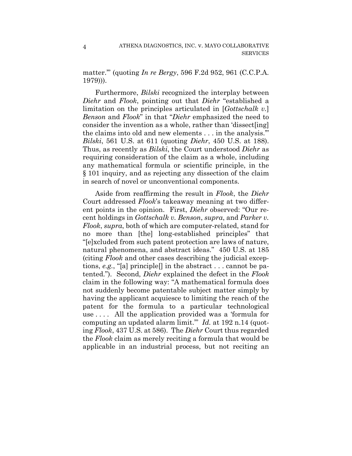matter.'" (quoting *In re Bergy*, 596 F.2d 952, 961 (C.C.P.A. 1979))).

4

Furthermore, *Bilski* recognized the interplay between *Diehr* and *Flook*, pointing out that *Diehr* "established a limitation on the principles articulated in [*Gottschalk v.*] *Benson* and *Flook*" in that "*Diehr* emphasized the need to consider the invention as a whole, rather than 'dissect[ing] the claims into old and new elements . . . in the analysis.'" *Bilski*, 561 U.S. at 611 (quoting *Diehr*, 450 U.S. at 188). Thus, as recently as *Bilski*, the Court understood *Diehr* as requiring consideration of the claim as a whole, including any mathematical formula or scientific principle, in the § 101 inquiry, and as rejecting any dissection of the claim in search of novel or unconventional components.

Aside from reaffirming the result in *Flook*, the *Diehr* Court addressed *Flook*'s takeaway meaning at two different points in the opinion. First, *Diehr* observed: "Our recent holdings in *Gottschalk v. Benson*, *supra*, and *Parker v. Flook*, *supra*, both of which are computer-related, stand for no more than [the] long-established principles" that "[e]xcluded from such patent protection are laws of nature, natural phenomena, and abstract ideas." 450 U.S. at 185 (citing *Flook* and other cases describing the judicial exceptions, *e.g.*, "[a] principle[] in the abstract . . . cannot be patented."). Second, *Diehr* explained the defect in the *Flook* claim in the following way: "A mathematical formula does not suddenly become patentable subject matter simply by having the applicant acquiesce to limiting the reach of the patent for the formula to a particular technological use . . . . All the application provided was a 'formula for computing an updated alarm limit.'" *Id.* at 192 n.14 (quoting *Flook*, 437 U.S. at 586). The *Diehr* Court thus regarded the *Flook* claim as merely reciting a formula that would be applicable in an industrial process, but not reciting an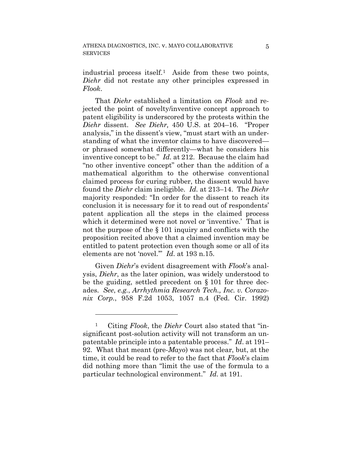industrial process itself.1 Aside from these two points, *Diehr* did not restate any other principles expressed in *Flook*.

That *Diehr* established a limitation on *Flook* and rejected the point of novelty/inventive concept approach to patent eligibility is underscored by the protests within the *Diehr* dissent. *See Diehr,* 450 U.S. at 204–16. "Proper analysis," in the dissent's view, "must start with an understanding of what the inventor claims to have discovered or phrased somewhat differently—what he considers his inventive concept to be." *Id.* at 212. Because the claim had "no other inventive concept" other than the addition of a mathematical algorithm to the otherwise conventional claimed process for curing rubber, the dissent would have found the *Diehr* claim ineligible. *Id.* at 213–14. The *Diehr* majority responded: "In order for the dissent to reach its conclusion it is necessary for it to read out of respondents' patent application all the steps in the claimed process which it determined were not novel or 'inventive.' That is not the purpose of the § 101 inquiry and conflicts with the proposition recited above that a claimed invention may be entitled to patent protection even though some or all of its elements are not 'novel.'" *Id*. at 193 n.15.

Given *Diehr*'s evident disagreement with *Flook*'s analysis, *Diehr*, as the later opinion, was widely understood to be the guiding, settled precedent on § 101 for three decades. *See*, *e.g.*, *Arrhythmia Research Tech., Inc. v. Corazonix Corp.*, 958 F.2d 1053, 1057 n.4 (Fed. Cir. 1992)

<u>.</u>

Citing *Flook*, the *Diehr* Court also stated that "insignificant post-solution activity will not transform an unpatentable principle into a patentable process." *Id*. at 191– 92. What that meant (pre-*Mayo*) was not clear, but, at the time, it could be read to refer to the fact that *Flook*'s claim did nothing more than "limit the use of the formula to a particular technological environment." *Id*. at 191.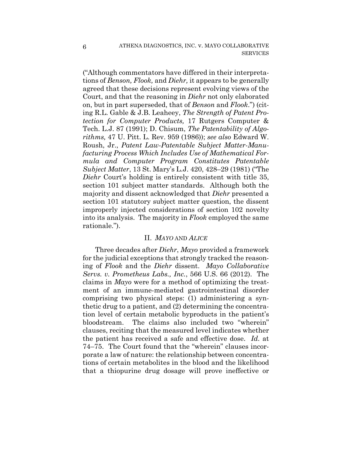("Although commentators have differed in their interpretations of *Benson, Flook,* and *Diehr,* it appears to be generally agreed that these decisions represent evolving views of the Court, and that the reasoning in *Diehr* not only elaborated on, but in part superseded, that of *Benson* and *Flook*.") (citing R.L. Gable & J.B. Leaheey, *The Strength of Patent Protection for Computer Products,* 17 Rutgers Computer & Tech. L.J. 87 (1991); D. Chisum, *The Patentability of Algorithms,* 47 U. Pitt. L. Rev. 959 (1986)); *see also* Edward W. Roush, Jr., *Patent Law-Patentable Subject Matter-Manufacturing Process Which Includes Use of Mathematical Formula and Computer Program Constitutes Patentable Subject Matter*, 13 St. Mary's L.J. 420, 428–29 (1981) ("The *Diehr* Court's holding is entirely consistent with title 35, section 101 subject matter standards. Although both the majority and dissent acknowledged that *Diehr* presented a section 101 statutory subject matter question, the dissent improperly injected considerations of section 102 novelty into its analysis. The majority in *Flook* employed the same rationale.").

#### II. *MAYO* AND *ALICE*

Three decades after *Diehr*, *Mayo* provided a framework for the judicial exceptions that strongly tracked the reasoning of *Flook* and the *Diehr* dissent. *Mayo Collaborative Servs. v. Prometheus Labs., Inc.*, 566 U.S. 66 (2012). The claims in *Mayo* were for a method of optimizing the treatment of an immune-mediated gastrointestinal disorder comprising two physical steps: (1) administering a synthetic drug to a patient, and (2) determining the concentration level of certain metabolic byproducts in the patient's bloodstream. The claims also included two "wherein" clauses, reciting that the measured level indicates whether the patient has received a safe and effective dose. *Id.* at 74–75. The Court found that the "wherein" clauses incorporate a law of nature: the relationship between concentrations of certain metabolites in the blood and the likelihood that a thiopurine drug dosage will prove ineffective or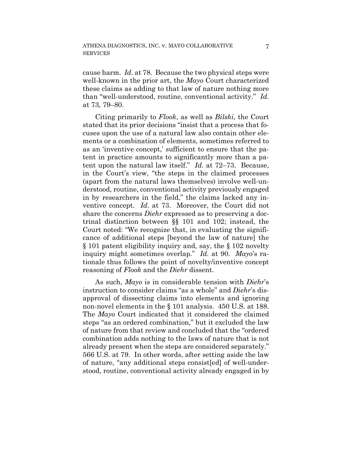cause harm. *Id.* at 78. Because the two physical steps were well-known in the prior art, the *Mayo* Court characterized these claims as adding to that law of nature nothing more than "well-understood, routine, conventional activity." *Id.*  at 73, 79–80.

Citing primarily to *Flook*, as well as *Bilski*, the Court stated that its prior decisions "insist that a process that focuses upon the use of a natural law also contain other elements or a combination of elements, sometimes referred to as an 'inventive concept,' sufficient to ensure that the patent in practice amounts to significantly more than a patent upon the natural law itself." *Id.* at 72–73. Because, in the Court's view, "the steps in the claimed processes (apart from the natural laws themselves) involve well-understood, routine, conventional activity previously engaged in by researchers in the field," the claims lacked any inventive concept. *Id*. at 73. Moreover, the Court did not share the concerns *Diehr* expressed as to preserving a doctrinal distinction between §§ 101 and 102; instead, the Court noted: "We recognize that, in evaluating the significance of additional steps [beyond the law of nature] the § 101 patent eligibility inquiry and, say, the § 102 novelty inquiry might sometimes overlap." *Id.* at 90. *Mayo*'s rationale thus follows the point of novelty/inventive concept reasoning of *Flook* and the *Diehr* dissent.

As such, *Mayo* is in considerable tension with *Diehr*'s instruction to consider claims "as a whole" and *Diehr*'s disapproval of dissecting claims into elements and ignoring non-novel elements in the § 101 analysis. 450 U.S. at 188. The *Mayo* Court indicated that it considered the claimed steps "as an ordered combination," but it excluded the law of nature from that review and concluded that the "ordered combination adds nothing to the laws of nature that is not already present when the steps are considered separately." 566 U.S. at 79. In other words, after setting aside the law of nature, "any additional steps consist[ed] of well-understood, routine, conventional activity already engaged in by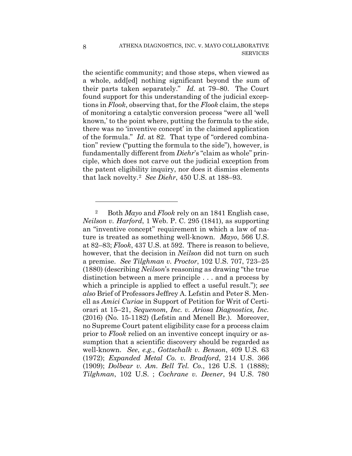the scientific community; and those steps, when viewed as a whole, add[ed] nothing significant beyond the sum of their parts taken separately." *Id.* at 79–80. The Court found support for this understanding of the judicial exceptions in *Flook*, observing that, for the *Flook* claim, the steps of monitoring a catalytic conversion process "were all 'well known,' to the point where, putting the formula to the side, there was no 'inventive concept' in the claimed application of the formula." *Id*. at 82. That type of "ordered combination" review ("putting the formula to the side"), however, is fundamentally different from *Diehr*'s "claim as whole" principle, which does not carve out the judicial exception from the patent eligibility inquiry, nor does it dismiss elements that lack novelty.2 *See Diehr*, 450 U.S. at 188–93.

<sup>2</sup> Both *Mayo* and *Flook* rely on an 1841 English case, *Neilson v. Harford*, 1 Web. P. C. 295 (1841), as supporting an "inventive concept" requirement in which a law of nature is treated as something well-known. *Mayo*, 566 U.S. at 82–83; *Flook*, 437 U.S. at 592. There is reason to believe, however, that the decision in *Neilson* did not turn on such a premise. *See Tilghman v. Proctor*, 102 U.S. 707, 723–25 (1880) (describing *Neilson*'s reasoning as drawing "the true distinction between a mere principle . . . and a process by which a principle is applied to effect a useful result."); *see also* Brief of Professors Jeffrey A. Lefstin and Peter S. Menell as *Amici Curiae* in Support of Petition for Writ of Certiorari at 15–21, *Sequenom, Inc. v. Ariosa Diagnostics, Inc.*  (2016) (No. 15-1182) (Lefstin and Menell Br.). Moreover, no Supreme Court patent eligibility case for a process claim prior to *Flook* relied on an inventive concept inquiry or assumption that a scientific discovery should be regarded as well-known. *See*, *e.g.*, *Gottschalk v. Benson*, 409 U.S. 63 (1972); *Expanded Metal Co. v. Bradford*, 214 U.S. 366 (1909); *Dolbear v. Am. Bell Tel. Co.*, 126 U.S. 1 (1888); *Tilghman*, 102 U.S. ; *Cochrane v. Deener*, 94 U.S. 780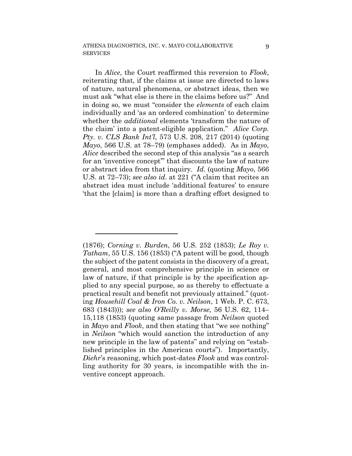In *Alice*, the Court reaffirmed this reversion to *Flook*, reiterating that, if the claims at issue are directed to laws of nature, natural phenomena, or abstract ideas, then we must ask "what else is there in the claims before us?" And in doing so, we must "consider the *elements* of each claim individually and 'as an ordered combination' to determine whether the *additional* elements 'transform the nature of the claim' into a patent-eligible application." *Alice Corp. Pty. v. CLS Bank Int'l*, 573 U.S. 208, 217 (2014) (quoting *Mayo*, 566 U.S. at 78–79) (emphases added). As in *Mayo*, *Alice* described the second step of this analysis "as a search for an 'inventive concept'" that discounts the law of nature or abstract idea from that inquiry. *Id*. (quoting *Mayo*, 566 U.S. at 72–73); *see also id*. at 221 ("A claim that recites an abstract idea must include 'additional features' to ensure 'that the [claim] is more than a drafting effort designed to

<sup>(1876);</sup> *Corning v. Burden*, 56 U.S. 252 (1853); *Le Roy v. Tatham*, 55 U.S. 156 (1853) ("A patent will be good, though the subject of the patent consists in the discovery of a great, general, and most comprehensive principle in science or law of nature, if that principle is by the specification applied to any special purpose, so as thereby to effectuate a practical result and benefit not previously attained." (quoting *Househill Coal & Iron Co. v. Neilson*, 1 Web. P. C. 673, 683 (1843))); *see also O'Reilly v. Morse*, 56 U.S. 62, 114– 15,118 (1853) (quoting same passage from *Neilson* quoted in *Mayo* and *Flook*, and then stating that "we see nothing" in *Neilson* "which would sanction the introduction of any new principle in the law of patents" and relying on "established principles in the American courts"). Importantly, *Diehr*'s reasoning, which post-dates *Flook* and was controlling authority for 30 years, is incompatible with the inventive concept approach.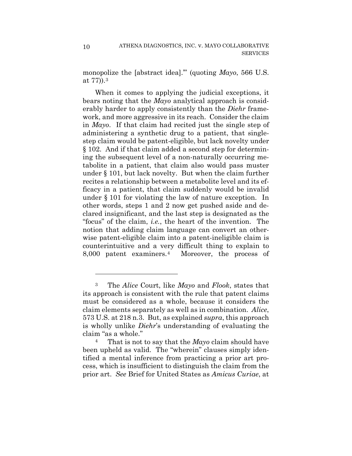monopolize the [abstract idea].'" (quoting *Mayo*, 566 U.S. at 77)).3

When it comes to applying the judicial exceptions, it bears noting that the *Mayo* analytical approach is considerably harder to apply consistently than the *Diehr* framework, and more aggressive in its reach. Consider the claim in *Mayo*. If that claim had recited just the single step of administering a synthetic drug to a patient, that singlestep claim would be patent-eligible, but lack novelty under § 102. And if that claim added a second step for determining the subsequent level of a non-naturally occurring metabolite in a patient, that claim also would pass muster under § 101, but lack novelty. But when the claim further recites a relationship between a metabolite level and its efficacy in a patient, that claim suddenly would be invalid under § 101 for violating the law of nature exception. In other words, steps 1 and 2 now get pushed aside and declared insignificant, and the last step is designated as the "focus" of the claim, *i.e.*, the heart of the invention. The notion that adding claim language can convert an otherwise patent-eligible claim into a patent-ineligible claim is counterintuitive and a very difficult thing to explain to 8,000 patent examiners.4 Moreover, the process of

<sup>3</sup> The *Alice* Court, like *Mayo* and *Flook*, states that its approach is consistent with the rule that patent claims must be considered as a whole, because it considers the claim elements separately as well as in combination. *Alice*, 573 U.S. at 218 n.3. But, as explained *supra*, this approach is wholly unlike *Diehr*'s understanding of evaluating the claim "as a whole."

<sup>4</sup> That is not to say that the *Mayo* claim should have been upheld as valid. The "wherein" clauses simply identified a mental inference from practicing a prior art process, which is insufficient to distinguish the claim from the prior art. *See* Brief for United States as *Amicus Curiae*, at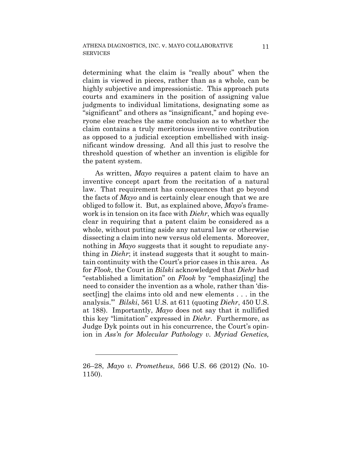determining what the claim is "really about" when the claim is viewed in pieces, rather than as a whole, can be highly subjective and impressionistic. This approach puts courts and examiners in the position of assigning value judgments to individual limitations, designating some as "significant" and others as "insignificant," and hoping everyone else reaches the same conclusion as to whether the claim contains a truly meritorious inventive contribution as opposed to a judicial exception embellished with insignificant window dressing. And all this just to resolve the threshold question of whether an invention is eligible for the patent system.

As written, *Mayo* requires a patent claim to have an inventive concept apart from the recitation of a natural law. That requirement has consequences that go beyond the facts of *Mayo* and is certainly clear enough that we are obliged to follow it. But, as explained above, *Mayo*'s framework is in tension on its face with *Diehr*, which was equally clear in requiring that a patent claim be considered as a whole, without putting aside any natural law or otherwise dissecting a claim into new versus old elements. Moreover, nothing in *Mayo* suggests that it sought to repudiate anything in *Diehr*; it instead suggests that it sought to maintain continuity with the Court's prior cases in this area. As for *Flook*, the Court in *Bilski* acknowledged that *Diehr* had "established a limitation" on *Flook* by "emphasiz[ing] the need to consider the invention as a whole, rather than 'dissect[ing] the claims into old and new elements . . . in the analysis.'" *Bilski*, 561 U.S. at 611 (quoting *Diehr*, 450 U.S. at 188). Importantly, *Mayo* does not say that it nullified this key "limitation" expressed in *Diehr*. Furthermore, as Judge Dyk points out in his concurrence, the Court's opinion in *Ass'n for Molecular Pathology v. Myriad Genetics,* 

<sup>26–28,</sup> *Mayo v. Prometheus*, 566 U.S. 66 (2012) (No. 10- 1150).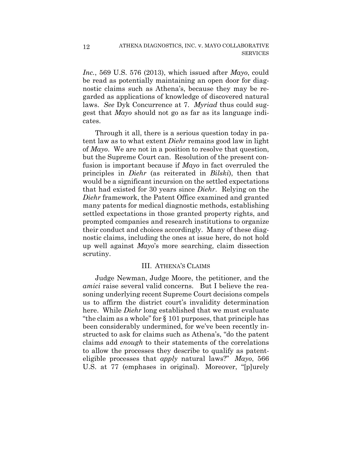*Inc.*, 569 U.S. 576 (2013), which issued after *Mayo*, could be read as potentially maintaining an open door for diagnostic claims such as Athena's, because they may be regarded as applications of knowledge of discovered natural laws. *See* Dyk Concurrence at 7. *Myriad* thus could suggest that *Mayo* should not go as far as its language indicates.

Through it all, there is a serious question today in patent law as to what extent *Diehr* remains good law in light of *Mayo*. We are not in a position to resolve that question, but the Supreme Court can. Resolution of the present confusion is important because if *Mayo* in fact overruled the principles in *Diehr* (as reiterated in *Bilski*), then that would be a significant incursion on the settled expectations that had existed for 30 years since *Diehr*. Relying on the *Diehr* framework, the Patent Office examined and granted many patents for medical diagnostic methods, establishing settled expectations in those granted property rights, and prompted companies and research institutions to organize their conduct and choices accordingly. Many of these diagnostic claims, including the ones at issue here, do not hold up well against *Mayo*'s more searching, claim dissection scrutiny.

### III. ATHENA'S CLAIMS

Judge Newman, Judge Moore, the petitioner, and the *amici* raise several valid concerns. But I believe the reasoning underlying recent Supreme Court decisions compels us to affirm the district court's invalidity determination here. While *Diehr* long established that we must evaluate "the claim as a whole" for § 101 purposes, that principle has been considerably undermined, for we've been recently instructed to ask for claims such as Athena's, "do the patent claims add *enough* to their statements of the correlations to allow the processes they describe to qualify as patenteligible processes that *apply* natural laws?" *Mayo*, 566 U.S. at 77 (emphases in original). Moreover, "[p]urely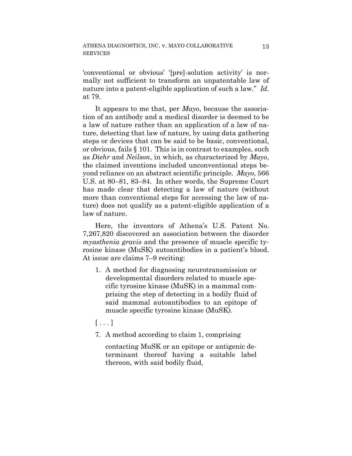'conventional or obvious' '[pre]-solution activity' is normally not sufficient to transform an unpatentable law of nature into a patent-eligible application of such a law." *Id*. at 79.

It appears to me that, per *Mayo*, because the association of an antibody and a medical disorder is deemed to be a law of nature rather than an application of a law of nature, detecting that law of nature, by using data gathering steps or devices that can be said to be basic, conventional, or obvious, fails § 101. This is in contrast to examples, such as *Diehr* and *Neilson*, in which, as characterized by *Mayo*, the claimed inventions included unconventional steps beyond reliance on an abstract scientific principle. *Mayo*, 566 U.S. at 80–81, 83–84. In other words, the Supreme Court has made clear that detecting a law of nature (without more than conventional steps for accessing the law of nature) does not qualify as a patent-eligible application of a law of nature.

Here, the inventors of Athena's U.S. Patent No. 7,267,820 discovered an association between the disorder *myasthenia gravis* and the presence of muscle specific tyrosine kinase (MuSK) autoantibodies in a patient's blood. At issue are claims 7–9 reciting:

1. A method for diagnosing neurotransmission or developmental disorders related to muscle specific tyrosine kinase (MuSK) in a mammal comprising the step of detecting in a bodily fluid of said mammal autoantibodies to an epitope of muscle specific tyrosine kinase (MuSK).

 $[\ldots]$ 

7. A method according to claim 1, comprising

contacting MuSK or an epitope or antigenic determinant thereof having a suitable label thereon, with said bodily fluid,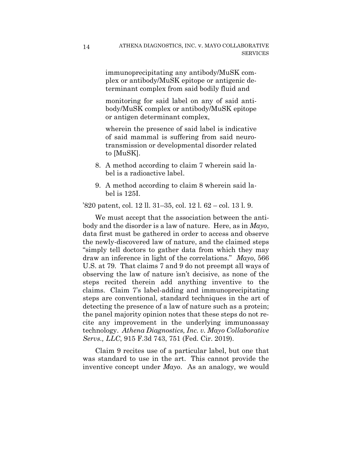immunoprecipitating any antibody/MuSK complex or antibody/MuSK epitope or antigenic determinant complex from said bodily fluid and

monitoring for said label on any of said antibody/MuSK complex or antibody/MuSK epitope or antigen determinant complex,

wherein the presence of said label is indicative of said mammal is suffering from said neurotransmission or developmental disorder related to [MuSK].

- 8. A method according to claim 7 wherein said label is a radioactive label.
- 9. A method according to claim 8 wherein said label is 125I.

'820 patent, col. 12 ll. 31–35, col. 12 l. 62 – col. 13 l. 9.

We must accept that the association between the antibody and the disorder is a law of nature. Here, as in *Mayo*, data first must be gathered in order to access and observe the newly-discovered law of nature, and the claimed steps "simply tell doctors to gather data from which they may draw an inference in light of the correlations." *Mayo*, 566 U.S. at 79. That claims 7 and 9 do not preempt all ways of observing the law of nature isn't decisive, as none of the steps recited therein add anything inventive to the claims. Claim 7's label-adding and immunoprecipitating steps are conventional, standard techniques in the art of detecting the presence of a law of nature such as a protein; the panel majority opinion notes that these steps do not recite any improvement in the underlying immunoassay technology. *Athena Diagnostics, Inc. v. Mayo Collaborative Servs., LLC*, 915 F.3d 743, 751 (Fed. Cir. 2019).

Claim 9 recites use of a particular label, but one that was standard to use in the art. This cannot provide the inventive concept under *Mayo*. As an analogy, we would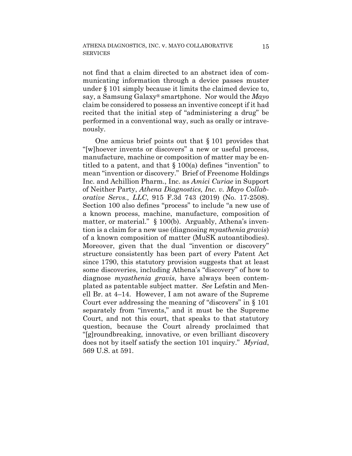not find that a claim directed to an abstract idea of communicating information through a device passes muster under § 101 simply because it limits the claimed device to, say, a Samsung Galaxy® smartphone. Nor would the *Mayo* claim be considered to possess an inventive concept if it had recited that the initial step of "administering a drug" be performed in a conventional way, such as orally or intravenously.

One amicus brief points out that § 101 provides that "[w]hoever invents or discovers" a new or useful process, manufacture, machine or composition of matter may be entitled to a patent, and that § 100(a) defines "invention" to mean "invention or discovery." Brief of Freenome Holdings Inc. and Achillion Pharm., Inc. as *Amici Curiae* in Support of Neither Party, *Athena Diagnostics, Inc. v. Mayo Collaborative Servs., LLC*, 915 F.3d 743 (2019) (No. 17-2508). Section 100 also defines "process" to include "a new use of a known process, machine, manufacture, composition of matter, or material." § 100(b). Arguably, Athena's invention is a claim for a new use (diagnosing *myasthenia gravis*) of a known composition of matter (MuSK autoantibodies). Moreover, given that the dual "invention or discovery" structure consistently has been part of every Patent Act since 1790, this statutory provision suggests that at least some discoveries, including Athena's "discovery" of how to diagnose *myasthenia gravis*, have always been contemplated as patentable subject matter. *See* Lefstin and Menell Br. at 4–14. However, I am not aware of the Supreme Court ever addressing the meaning of "discovers" in § 101 separately from "invents," and it must be the Supreme Court, and not this court, that speaks to that statutory question, because the Court already proclaimed that "[g]roundbreaking, innovative, or even brilliant discovery does not by itself satisfy the section 101 inquiry." *Myriad*, 569 U.S. at 591.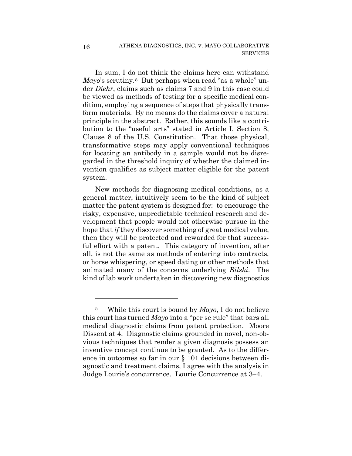In sum, I do not think the claims here can withstand *Mayo*'s scrutiny.5 But perhaps when read "as a whole" under *Diehr*, claims such as claims 7 and 9 in this case could be viewed as methods of testing for a specific medical condition, employing a sequence of steps that physically transform materials. By no means do the claims cover a natural principle in the abstract. Rather, this sounds like a contribution to the "useful arts" stated in Article I, Section 8, Clause 8 of the U.S. Constitution. That those physical, transformative steps may apply conventional techniques for locating an antibody in a sample would not be disregarded in the threshold inquiry of whether the claimed invention qualifies as subject matter eligible for the patent system.

New methods for diagnosing medical conditions, as a general matter, intuitively seem to be the kind of subject matter the patent system is designed for: to encourage the risky, expensive, unpredictable technical research and development that people would not otherwise pursue in the hope that *if* they discover something of great medical value, then they will be protected and rewarded for that successful effort with a patent. This category of invention, after all, is not the same as methods of entering into contracts, or horse whispering, or speed dating or other methods that animated many of the concerns underlying *Bilski*. The kind of lab work undertaken in discovering new diagnostics

1

<sup>5</sup> While this court is bound by *Mayo*, I do not believe this court has turned *Mayo* into a "per se rule" that bars all medical diagnostic claims from patent protection. Moore Dissent at 4. Diagnostic claims grounded in novel, non-obvious techniques that render a given diagnosis possess an inventive concept continue to be granted. As to the difference in outcomes so far in our § 101 decisions between diagnostic and treatment claims, I agree with the analysis in Judge Lourie's concurrence. Lourie Concurrence at 3–4.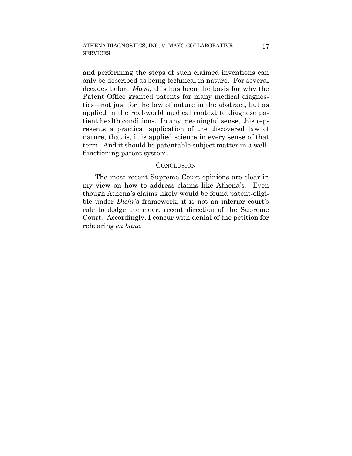and performing the steps of such claimed inventions can only be described as being technical in nature. For several decades before *Mayo*, this has been the basis for why the Patent Office granted patents for many medical diagnostics—not just for the law of nature in the abstract, but as applied in the real-world medical context to diagnose patient health conditions. In any meaningful sense, this represents a practical application of the discovered law of nature, that is, it is applied science in every sense of that term. And it should be patentable subject matter in a wellfunctioning patent system.

#### **CONCLUSION**

The most recent Supreme Court opinions are clear in my view on how to address claims like Athena's. Even though Athena's claims likely would be found patent-eligible under *Diehr*'s framework, it is not an inferior court's role to dodge the clear, recent direction of the Supreme Court. Accordingly, I concur with denial of the petition for rehearing *en banc*.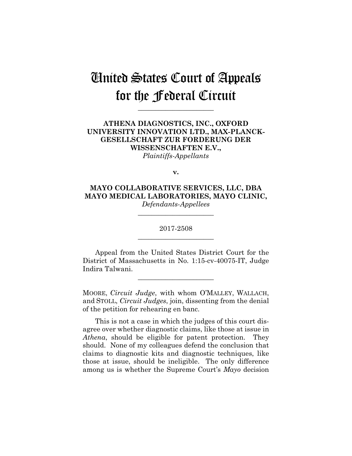# United States Court of Appeals for the Federal Circuit

**\_\_\_\_\_\_\_\_\_\_\_\_\_\_\_\_\_\_\_\_\_\_**

# **ATHENA DIAGNOSTICS, INC., OXFORD UNIVERSITY INNOVATION LTD., MAX-PLANCK-GESELLSCHAFT ZUR FORDERUNG DER WISSENSCHAFTEN E.V.,** *Plaintiffs-Appellants*

**v.**

**MAYO COLLABORATIVE SERVICES, LLC, DBA MAYO MEDICAL LABORATORIES, MAYO CLINIC,** *Defendants-Appellees*

> 2017-2508 **\_\_\_\_\_\_\_\_\_\_\_\_\_\_\_\_\_\_\_\_\_\_**

> **\_\_\_\_\_\_\_\_\_\_\_\_\_\_\_\_\_\_\_\_\_\_**

Appeal from the United States District Court for the District of Massachusetts in No. 1:15-cv-40075-IT, Judge Indira Talwani.

**\_\_\_\_\_\_\_\_\_\_\_\_\_\_\_\_\_\_\_\_\_\_**

MOORE, *Circuit Judge*, with whom O'MALLEY, WALLACH, and STOLL, *Circuit Judges*, join, dissenting from the denial of the petition for rehearing en banc.

This is not a case in which the judges of this court disagree over whether diagnostic claims, like those at issue in *Athena*, should be eligible for patent protection. They should. None of my colleagues defend the conclusion that claims to diagnostic kits and diagnostic techniques, like those at issue, should be ineligible. The only difference among us is whether the Supreme Court's *Mayo* decision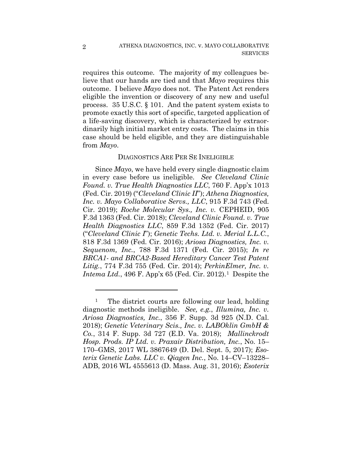requires this outcome. The majority of my colleagues believe that our hands are tied and that *Mayo* requires this outcome. I believe *Mayo* does not. The Patent Act renders eligible the invention or discovery of any new and useful process. 35 U.S.C. § 101. And the patent system exists to promote exactly this sort of specific, targeted application of a life-saving discovery, which is characterized by extraordinarily high initial market entry costs. The claims in this case should be held eligible, and they are distinguishable from *Mayo*.

## DIAGNOSTICS ARE PER SE INELIGIBLE

Since *Mayo*, we have held every single diagnostic claim in every case before us ineligible. *See Cleveland Clinic Found. v. True Health Diagnostics LLC*, 760 F. App'x 1013 (Fed. Cir. 2019) ("*Cleveland Clinic II*"); *Athena Diagnostics, Inc. v. Mayo Collaborative Servs., LLC*, 915 F.3d 743 (Fed. Cir. 2019); *Roche Molecular Sys., Inc. v.* CEPHEID, 905 F.3d 1363 (Fed. Cir. 2018); *Cleveland Clinic Found. v. True Health Diagnostics LLC*, 859 F.3d 1352 (Fed. Cir. 2017) ("*Cleveland Clinic I*"); *Genetic Techs. Ltd. v. Merial L.L.C.*, 818 F.3d 1369 (Fed. Cir. 2016); *Ariosa Diagnostics, Inc. v. Sequenom, Inc.*, 788 F.3d 1371 (Fed. Cir. 2015); *In re BRCA1- and BRCA2-Based Hereditary Cancer Test Patent Litig.*, 774 F.3d 755 (Fed. Cir. 2014); *PerkinElmer, Inc. v. Intema Ltd.*, 496 F. App'x 65 (Fed. Cir. 2012).1 Despite the

<u>.</u>

<sup>&</sup>lt;sup>1</sup> The district courts are following our lead, holding diagnostic methods ineligible. *See, e.g.*, *Illumina, Inc. v. Ariosa Diagnostics, Inc.*, 356 F. Supp. 3d 925 (N.D. Cal. 2018); *Genetic Veterinary Scis., Inc. v. LABOklin GmbH & Co.*, 314 F. Supp. 3d 727 (E.D. Va. 2018); *Mallinckrodt Hosp. Prods. IP Ltd. v. Praxair Distribution, Inc.*, No. 15– 170–GMS, 2017 WL 3867649 (D. Del. Sept. 5, 2017); *Esoterix Genetic Labs. LLC v. Qiagen Inc.*, No. 14–CV–13228– ADB, 2016 WL 4555613 (D. Mass. Aug. 31, 2016); *Esoterix*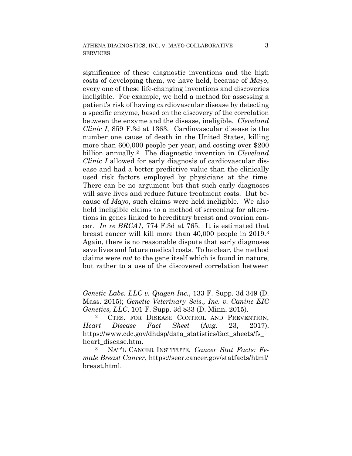significance of these diagnostic inventions and the high costs of developing them, we have held, because of *Mayo*, every one of these life-changing inventions and discoveries ineligible. For example, we held a method for assessing a patient's risk of having cardiovascular disease by detecting a specific enzyme, based on the discovery of the correlation between the enzyme and the disease, ineligible. *Cleveland Clinic I*, 859 F.3d at 1363. Cardiovascular disease is the number one cause of death in the United States, killing more than 600,000 people per year, and costing over \$200 billion annually.2 The diagnostic invention in *Cleveland Clinic I* allowed for early diagnosis of cardiovascular disease and had a better predictive value than the clinically used risk factors employed by physicians at the time. There can be no argument but that such early diagnoses will save lives and reduce future treatment costs. But because of *Mayo*, such claims were held ineligible. We also held ineligible claims to a method of screening for alterations in genes linked to hereditary breast and ovarian cancer. *In re BRCA1*, 774 F.3d at 765. It is estimated that breast cancer will kill more than 40,000 people in 2019.3 Again, there is no reasonable dispute that early diagnoses save lives and future medical costs. To be clear, the method claims were *not* to the gene itself which is found in nature, but rather to a use of the discovered correlation between

1

*Genetic Labs. LLC v. Qiagen Inc.*, 133 F. Supp. 3d 349 (D. Mass. 2015); *Genetic Veterinary Scis., Inc. v. Canine EIC Genetics, LLC*, 101 F. Supp. 3d 833 (D. Minn**.** 2015).

<sup>&</sup>lt;sup>2</sup> CTRS. FOR DISEASE CONTROL AND PREVENTION, *Heart Disease Fact Sheet* (Aug. 23, 2017), https://www.cdc.gov/dhdsp/data\_statistics/fact\_sheets/fs heart\_disease.htm.

<sup>3</sup> NAT'L CANCER INSTITUTE, *Cancer Stat Facts: Female Breast Cancer*, https://seer.cancer.gov/statfacts/html/ breast.html.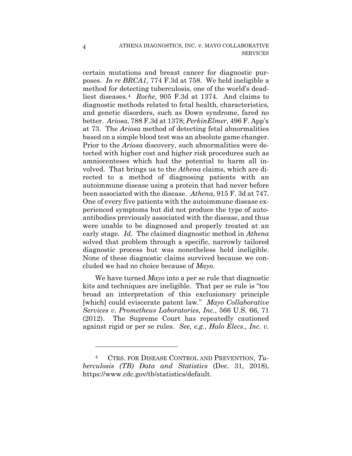certain mutations and breast cancer for diagnostic purposes. *In re BRCA1*, 774 F.3d at 758. We held ineligible a method for detecting tuberculosis, one of the world's deadliest diseases.4 *Roche*, 905 F.3d at 1374. And claims to diagnostic methods related to fetal health, characteristics, and genetic disorders, such as Down syndrome, fared no better. *Ariosa*, 788 F.3d at 1378; *PerkinElmer*, 496 F. App'x at 73. The *Ariosa* method of detecting fetal abnormalities based on a simple blood test was an absolute game changer. Prior to the *Ariosa* discovery, such abnormalities were detected with higher cost and higher risk procedures such as amniocenteses which had the potential to harm all involved. That brings us to the *Athena* claims, which are directed to a method of diagnosing patients with an autoimmune disease using a protein that had never before been associated with the disease. *Athena*, 915 F. 3d at 747. One of every five patients with the autoimmune disease experienced symptoms but did not produce the type of autoantibodies previously associated with the disease, and thus were unable to be diagnosed and properly treated at an early stage. *Id.* The claimed diagnostic method in *Athena* solved that problem through a specific, narrowly tailored diagnostic process but was nonetheless held ineligible. None of these diagnostic claims survived because we concluded we had no choice because of *Mayo*.

We have turned *Mayo* into a per se rule that diagnostic kits and techniques are ineligible. That per se rule is "too broad an interpretation of this exclusionary principle [which] could eviscerate patent law." *Mayo Collaborative Services v. Prometheus Laboratories, Inc.*, 566 U.S. 66, 71 (2012). The Supreme Court has repeatedly cautioned against rigid or per se rules. *See, e.g.*, *Halo Elecs., Inc. v.* 

1

<sup>4</sup> CTRS. FOR DISEASE CONTROL AND PREVENTION, *Tuberculosis (TB) Data and Statistics* (Dec. 31, 2018), https://www.cdc.gov/tb/statistics/default.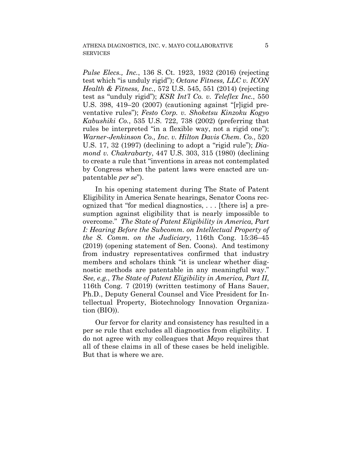*Pulse Elecs., Inc.*, 136 S. Ct. 1923, 1932 (2016) (rejecting test which "is unduly rigid"); *Octane Fitness, LLC v. ICON Health & Fitness, Inc.*, 572 U.S. 545, 551 (2014) (rejecting test as "unduly rigid"); *KSR Int'l Co. v. Teleflex Inc.*, 550 U.S. 398, 419–20 (2007) (cautioning against "[r]igid preventative rules"); *Festo Corp. v. Shoketsu Kinzoku Kogyo Kabushiki Co.*, 535 U.S. 722, 738 (2002) (preferring that rules be interpreted "in a flexible way, not a rigid one"); *Warner-Jenkinson Co., Inc. v. Hilton Davis Chem. Co.*, 520 U.S. 17, 32 (1997) (declining to adopt a "rigid rule"); *Diamond v. Chakrabarty*, 447 U.S. 303, 315 (1980) (declining to create a rule that "inventions in areas not contemplated by Congress when the patent laws were enacted are unpatentable *per se*").

In his opening statement during The State of Patent Eligibility in America Senate hearings, Senator Coons recognized that "for medical diagnostics, . . . [there is] a presumption against eligibility that is nearly impossible to overcome." *The State of Patent Eligibility in America, Part I: Hearing Before the Subcomm. on Intellectual Property of the S. Comm. on the Judiciary*, 116th Cong. 15:36–45 (2019) (opening statement of Sen. Coons). And testimony from industry representatives confirmed that industry members and scholars think "it is unclear whether diagnostic methods are patentable in any meaningful way." *See, e.g.*, *The State of Patent Eligibility in America, Part II*, 116th Cong. 7 (2019) (written testimony of Hans Sauer, Ph.D., Deputy General Counsel and Vice President for Intellectual Property, Biotechnology Innovation Organization (BIO)).

Our fervor for clarity and consistency has resulted in a per se rule that excludes all diagnostics from eligibility. I do not agree with my colleagues that *Mayo* requires that all of these claims in all of these cases be held ineligible. But that is where we are.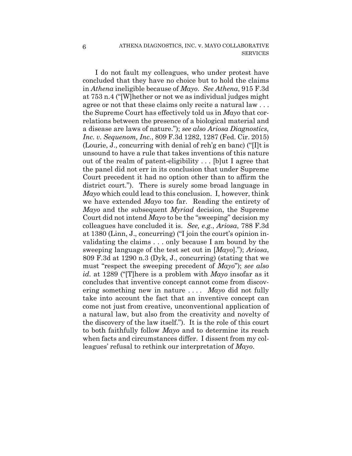I do not fault my colleagues, who under protest have concluded that they have no choice but to hold the claims in *Athena* ineligible because of *Mayo*. *See Athena*, 915 F.3d at 753 n.4 ("[W]hether or not we as individual judges might agree or not that these claims only recite a natural law . . . the Supreme Court has effectively told us in *Mayo* that correlations between the presence of a biological material and a disease are laws of nature."); *see also Ariosa Diagnostics, Inc. v. Sequenom, Inc.*, 809 F.3d 1282, 1287 (Fed. Cir. 2015) (Lourie, J., concurring with denial of reh'g en banc) ("[I]t is unsound to have a rule that takes inventions of this nature out of the realm of patent-eligibility . . . [b]ut I agree that the panel did not err in its conclusion that under Supreme Court precedent it had no option other than to affirm the district court."). There is surely some broad language in *Mayo* which could lead to this conclusion. I, however, think we have extended *Mayo* too far. Reading the entirety of *Mayo* and the subsequent *Myriad* decision, the Supreme Court did not intend *Mayo* to be the "sweeping" decision my colleagues have concluded it is. *See, e.g.*, *Ariosa*, 788 F.3d at 1380 (Linn, J., concurring) ("I join the court's opinion invalidating the claims . . . only because I am bound by the sweeping language of the test set out in [*Mayo*]."); *Ariosa*, 809 F.3d at 1290 n.3 (Dyk, J., concurring) (stating that we must "respect the sweeping precedent of *Mayo*"); *see also id.* at 1289 ("[T]here is a problem with *Mayo* insofar as it concludes that inventive concept cannot come from discovering something new in nature . . . . *Mayo* did not fully take into account the fact that an inventive concept can come not just from creative, unconventional application of a natural law, but also from the creativity and novelty of the discovery of the law itself."). It is the role of this court to both faithfully follow *Mayo* and to determine its reach when facts and circumstances differ. I dissent from my colleagues' refusal to rethink our interpretation of *Mayo*.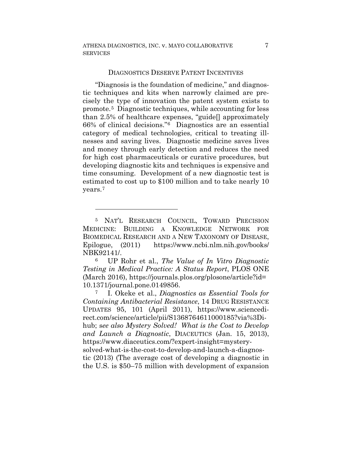#### DIAGNOSTICS DESERVE PATENT INCENTIVES

"Diagnosis is the foundation of medicine," and diagnostic techniques and kits when narrowly claimed are precisely the type of innovation the patent system exists to promote.5 Diagnostic techniques, while accounting for less than 2.5% of healthcare expenses, "guide[] approximately 66% of clinical decisions."6 Diagnostics are an essential category of medical technologies, critical to treating illnesses and saving lives. Diagnostic medicine saves lives and money through early detection and reduces the need for high cost pharmaceuticals or curative procedures, but developing diagnostic kits and techniques is expensive and time consuming. Development of a new diagnostic test is estimated to cost up to \$100 million and to take nearly 10 years.7

1

*Testing in Medical Practice: A Status Report*, PLOS ONE (March 2016), https://journals.plos.org/plosone/article?id= 10.1371/journal.pone.0149856. 7 I. Okeke et al., *Diagnostics as Essential Tools for* 

*Containing Antibacterial Resistance*, 14 DRUG RESISTANCE UPDATES 95, 101 (April 2011), https://www.sciencedirect.com/science/article/pii/S1368764611000185?via%3Dihub; s*ee also Mystery Solved! What is the Cost to Develop and Launch a Diagnostic*, DIACEUTICS (Jan. 15, 2013), https://www.diaceutics.com/?expert-insight=mysterysolved-what-is-the-cost-to-develop-and-launch-a-diagnostic (2013) (The average cost of developing a diagnostic in the U.S. is \$50–75 million with development of expansion

<sup>5</sup> NAT'L RESEARCH COUNCIL, TOWARD PRECISION MEDICINE: BUILDING A KNOWLEDGE NETWORK FOR BIOMEDICAL RESEARCH AND A NEW TAXONOMY OF DISEASE, Epilogue, (2011) https://www.ncbi.nlm.nih.gov/books/ NBK92141/. 6 UP Rohr et al., *The Value of In Vitro Diagnostic*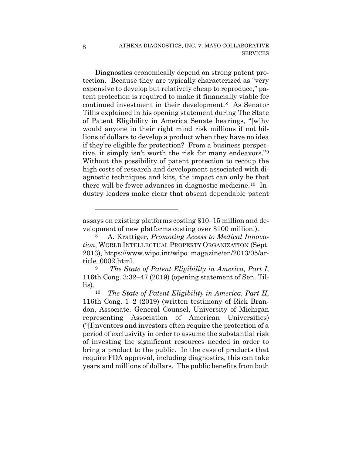Diagnostics economically depend on strong patent protection. Because they are typically characterized as "very expensive to develop but relatively cheap to reproduce," patent protection is required to make it financially viable for continued investment in their development.8 As Senator Tillis explained in his opening statement during The State of Patent Eligibility in America Senate hearings, "[w]hy would anyone in their right mind risk millions if not billions of dollars to develop a product when they have no idea if they're eligible for protection? From a business perspective, it simply isn't worth the risk for many endeavors."9 Without the possibility of patent protection to recoup the high costs of research and development associated with diagnostic techniques and kits, the impact can only be that there will be fewer advances in diagnostic medicine.10 Industry leaders make clear that absent dependable patent

1

assays on existing platforms costing \$10–15 million and development of new platforms costing over \$100 million.).

<sup>8</sup> A. Krattiger, *Promoting Access to Medical Innovation*, WORLD INTELLECTUAL PROPERTY ORGANIZATION (Sept. 2013), https://www.wipo.int/wipo\_magazine/en/2013/05/article\_0002.html. 9 *The State of Patent Eligibility in America, Part I*,

<sup>116</sup>th Cong. 3:32–47 (2019) (opening statement of Sen. Tillis).

<sup>10</sup> *The State of Patent Eligibility in America, Part II*, 116th Cong. 1–2 (2019) (written testimony of Rick Brandon, Associate. General Counsel, University of Michigan representing Association of American Universities) ("[I]nventors and investors often require the protection of a period of exclusivity in order to assume the substantial risk of investing the significant resources needed in order to bring a product to the public. In the case of products that require FDA approval, including diagnostics, this can take years and millions of dollars. The public benefits from both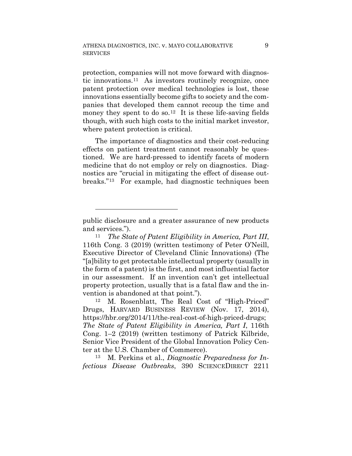protection, companies will not move forward with diagnostic innovations.11 As investors routinely recognize, once patent protection over medical technologies is lost, these innovations essentially become gifts to society and the companies that developed them cannot recoup the time and money they spent to do so.<sup>12</sup> It is these life-saving fields though, with such high costs to the initial market investor, where patent protection is critical.

The importance of diagnostics and their cost-reducing effects on patient treatment cannot reasonably be questioned. We are hard-pressed to identify facets of modern medicine that do not employ or rely on diagnostics. Diagnostics are "crucial in mitigating the effect of disease outbreaks."13 For example, had diagnostic techniques been

1

public disclosure and a greater assurance of new products and services.").

<sup>11</sup> *The State of Patent Eligibility in America, Part III*, 116th Cong. 3 (2019) (written testimony of Peter O'Neill, Executive Director of Cleveland Clinic Innovations) (The "[a]bility to get protectable intellectual property (usually in the form of a patent) is the first, and most influential factor in our assessment. If an invention can't get intellectual property protection, usually that is a fatal flaw and the invention is abandoned at that point.").

<sup>12</sup> M. Rosenblatt, The Real Cost of "High-Priced" Drugs, HARVARD BUSINESS REVIEW (Nov. 17, 2014), https://hbr.org/2014/11/the-real-cost-of-high-priced-drugs; *The State of Patent Eligibility in America, Part I*, 116th Cong. 1–2 (2019) (written testimony of Patrick Kilbride, Senior Vice President of the Global Innovation Policy Center at the U.S. Chamber of Commerce).

<sup>13</sup> M. Perkins et al., *Diagnostic Preparedness for Infectious Disease Outbreaks*, 390 SCIENCEDIRECT 2211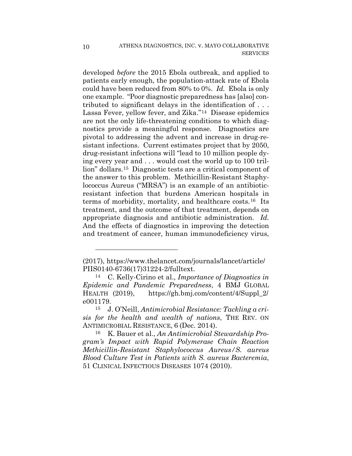developed *before* the 2015 Ebola outbreak, and applied to patients early enough, the population-attack rate of Ebola could have been reduced from 80% to 0%. *Id.* Ebola is only one example. "Poor diagnostic preparedness has [also] contributed to significant delays in the identification of . . . Lassa Fever, yellow fever, and Zika."14 Disease epidemics are not the only life-threatening conditions to which diagnostics provide a meaningful response. Diagnostics are pivotal to addressing the advent and increase in drug-resistant infections. Current estimates project that by 2050, drug-resistant infections will "lead to 10 million people dying every year and . . . would cost the world up to 100 trillion" dollars.15 Diagnostic tests are a critical component of the answer to this problem. Methicillin-Resistant Staphylococcus Aureus ("MRSA") is an example of an antibioticresistant infection that burdens American hospitals in terms of morbidity, mortality, and healthcare costs.16 Its treatment, and the outcome of that treatment, depends on appropriate diagnosis and antibiotic administration. *Id.* And the effects of diagnostics in improving the detection and treatment of cancer, human immunodeficiency virus,

<u>.</u>

<sup>(2017),</sup> https://www.thelancet.com/journals/lancet/article/ PIIS0140-6736(17)31224-2/fulltext.

<sup>14</sup> C. Kelly-Cirino et al., *Importance of Diagnostics in Epidemic and Pandemic Preparedness*, 4 BMJ GLOBAL HEALTH (2019), https://gh.bmj.com/content/4/Suppl\_2/ e001179.

<sup>15</sup> J. O'Neill, *Antimicrobial Resistance: Tackling a crisis for the health and wealth of nations*, THE REV. ON ANTIMICROBIAL RESISTANCE, 6 (Dec. 2014).

<sup>16</sup> K. Bauer et al., *An Antimicrobial Stewardship Program's Impact with Rapid Polymerase Chain Reaction Methicillin-Resistant Staphylococcus Aureus/S. aureus Blood Culture Test in Patients with S. aureus Bacteremia*, 51 CLINICAL INFECTIOUS DISEASES 1074 (2010).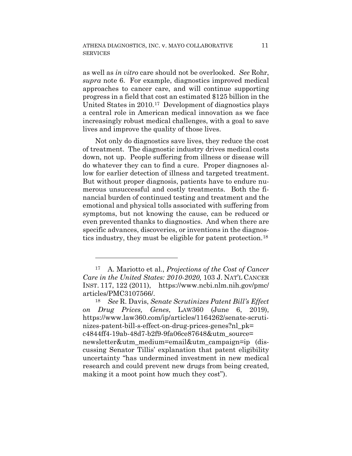as well as *in vitro* care should not be overlooked. *See* Rohr, *supra* note 6. For example, diagnostics improved medical approaches to cancer care, and will continue supporting progress in a field that cost an estimated \$125 billion in the United States in 2010.17 Development of diagnostics plays a central role in American medical innovation as we face increasingly robust medical challenges, with a goal to save lives and improve the quality of those lives.

Not only do diagnostics save lives, they reduce the cost of treatment. The diagnostic industry drives medical costs down, not up. People suffering from illness or disease will do whatever they can to find a cure. Proper diagnoses allow for earlier detection of illness and targeted treatment. But without proper diagnosis, patients have to endure numerous unsuccessful and costly treatments. Both the financial burden of continued testing and treatment and the emotional and physical tolls associated with suffering from symptoms, but not knowing the cause, can be reduced or even prevented thanks to diagnostics. And when there are specific advances, discoveries, or inventions in the diagnostics industry, they must be eligible for patent protection.18

1

<sup>17</sup> A. Mariotto et al., *Projections of the Cost of Cancer Care in the United States: 2010-2020,* 103 J. NAT'L CANCER INST. 117, 122 (2011), https://www.ncbi.nlm.nih.gov/pmc/ articles/PMC3107566/.

<sup>18</sup> *See* R. Davis, *Senate Scrutinizes Patent Bill's Effect on Drug Prices, Genes*, LAW360 (June 6, 2019), https://www.law360.com/ip/articles/1164262/senate-scrutinizes-patent-bill-s-effect-on-drug-prices-genes?nl\_pk= c4844ff4-19ab-48d7-b2f9-9fa06ce87648&utm\_source= newsletter&utm\_medium=email&utm\_campaign=ip (discussing Senator Tillis' explanation that patent eligibility uncertainty "has undermined investment in new medical research and could prevent new drugs from being created, making it a moot point how much they cost").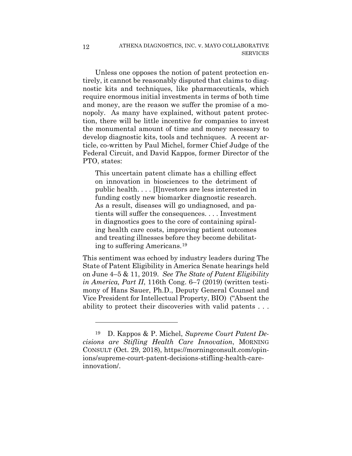Unless one opposes the notion of patent protection entirely, it cannot be reasonably disputed that claims to diagnostic kits and techniques, like pharmaceuticals, which require enormous initial investments in terms of both time and money, are the reason we suffer the promise of a monopoly. As many have explained, without patent protection, there will be little incentive for companies to invest the monumental amount of time and money necessary to develop diagnostic kits, tools and techniques. A recent article, co-written by Paul Michel, former Chief Judge of the Federal Circuit, and David Kappos, former Director of the PTO, states:

This uncertain patent climate has a chilling effect on innovation in biosciences to the detriment of public health. . . . [I]nvestors are less interested in funding costly new biomarker diagnostic research. As a result, diseases will go undiagnosed, and patients will suffer the consequences. . . . Investment in diagnostics goes to the core of containing spiraling health care costs, improving patient outcomes and treating illnesses before they become debilitating to suffering Americans.19

This sentiment was echoed by industry leaders during The State of Patent Eligibility in America Senate hearings held on June 4–5 & 11, 2019. *See The State of Patent Eligibility in America, Part II*, 116th Cong. 6–7 (2019) (written testimony of Hans Sauer, Ph.D., Deputy General Counsel and Vice President for Intellectual Property, BIO) ("Absent the ability to protect their discoveries with valid patents . . .

1

<sup>19</sup> D. Kappos & P. Michel, *Supreme Court Patent Decisions are Stifling Health Care Innovation*, MORNING CONSULT (Oct. 29, 2018), https://morningconsult.com/opinions/supreme-court-patent-decisions-stifling-health-careinnovation/.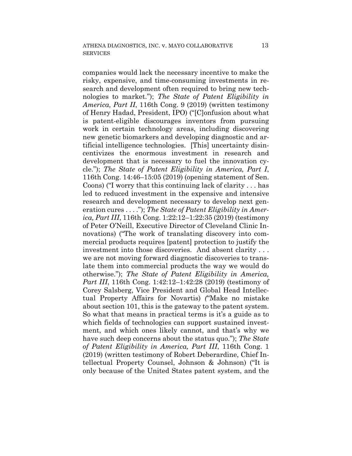companies would lack the necessary incentive to make the risky, expensive, and time-consuming investments in research and development often required to bring new technologies to market."); *The State of Patent Eligibility in America, Part II*, 116th Cong. 9 (2019) (written testimony of Henry Hadad, President, IPO) ("[C]onfusion about what is patent-eligible discourages inventors from pursuing work in certain technology areas, including discovering new genetic biomarkers and developing diagnostic and artificial intelligence technologies. [This] uncertainty disincentivizes the enormous investment in research and development that is necessary to fuel the innovation cycle."); *The State of Patent Eligibility in America, Part I*, 116th Cong. 14:46–15:05 (2019) (opening statement of Sen. Coons) ("I worry that this continuing lack of clarity . . . has led to reduced investment in the expensive and intensive research and development necessary to develop next generation cures . . . ."); *The State of Patent Eligibility in America, Part III*, 116th Cong. 1:22:12–1:22:35 (2019) (testimony of Peter O'Neill, Executive Director of Cleveland Clinic Innovations) ("The work of translating discovery into commercial products requires [patent] protection to justify the investment into those discoveries. And absent clarity . . . we are not moving forward diagnostic discoveries to translate them into commercial products the way we would do otherwise."); *The State of Patent Eligibility in America, Part III*, 116th Cong. 1:42:12–1:42:28 (2019) (testimony of Corey Salsberg, Vice President and Global Head Intellectual Property Affairs for Novartis) *(*"Make no mistake about section 101, this is the gateway to the patent system. So what that means in practical terms is it's a guide as to which fields of technologies can support sustained investment, and which ones likely cannot, and that's why we have such deep concerns about the status quo."); *The State of Patent Eligibility in America, Part III*, 116th Cong. 1 (2019) (written testimony of Robert Deberardine, Chief Intellectual Property Counsel, Johnson & Johnson) ("It is only because of the United States patent system, and the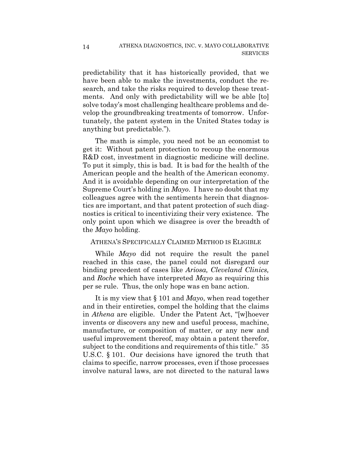predictability that it has historically provided, that we have been able to make the investments, conduct the research, and take the risks required to develop these treatments. And only with predictability will we be able [to] solve today's most challenging healthcare problems and develop the groundbreaking treatments of tomorrow. Unfortunately, the patent system in the United States today is anything but predictable.").

The math is simple, you need not be an economist to get it: Without patent protection to recoup the enormous R&D cost, investment in diagnostic medicine will decline. To put it simply, this is bad. It is bad for the health of the American people and the health of the American economy. And it is avoidable depending on our interpretation of the Supreme Court's holding in *Mayo*. I have no doubt that my colleagues agree with the sentiments herein that diagnostics are important, and that patent protection of such diagnostics is critical to incentivizing their very existence. The only point upon which we disagree is over the breadth of the *Mayo* holding.

## ATHENA'S SPECIFICALLY CLAIMED METHOD IS ELIGIBLE

While *Mayo* did not require the result the panel reached in this case, the panel could not disregard our binding precedent of cases like *Ariosa, Cleveland Clinics,*  and *Roche* which have interpreted *Mayo* as requiring this per se rule. Thus, the only hope was en banc action.

It is my view that § 101 and *Mayo*, when read together and in their entireties, compel the holding that the claims in *Athena* are eligible. Under the Patent Act, "[w]hoever invents or discovers any new and useful process, machine, manufacture, or composition of matter, or any new and useful improvement thereof, may obtain a patent therefor, subject to the conditions and requirements of this title." 35 U.S.C. § 101. Our decisions have ignored the truth that claims to specific, narrow processes, even if those processes involve natural laws, are not directed to the natural laws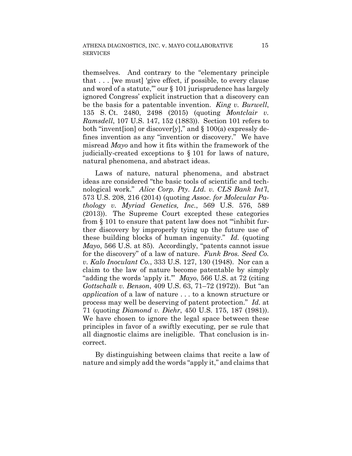themselves. And contrary to the "elementary principle that . . . [we must] 'give effect, if possible, to every clause and word of a statute,'" our § 101 jurisprudence has largely ignored Congress' explicit instruction that a discovery can be the basis for a patentable invention. *King v. Burwell*, 135 S. Ct. 2480, 2498 (2015) (quoting *Montclair v. Ramsdell*, 107 U.S. 147, 152 (1883)). Section 101 refers to both "inventsion] or discover[y]," and  $\S 100(a)$  expressly defines invention as any "invention or discovery." We have misread *Mayo* and how it fits within the framework of the judicially-created exceptions to § 101 for laws of nature, natural phenomena, and abstract ideas.

Laws of nature, natural phenomena, and abstract ideas are considered "the basic tools of scientific and technological work." *Alice Corp. Pty. Ltd. v. CLS Bank Int'l*, 573 U.S. 208, 216 (2014) (quoting *Assoc. for Molecular Pathology v. Myriad Genetics, Inc.*, 569 U.S. 576, 589 (2013)). The Supreme Court excepted these categories from § 101 to ensure that patent law does not "'inhibit further discovery by improperly tying up the future use of' these building blocks of human ingenuity." *Id.* (quoting *Mayo*, 566 U.S. at 85). Accordingly, "patents cannot issue for the discovery" of a law of nature. *Funk Bros. Seed Co. v. Kalo Inoculant Co.*, 333 U.S. 127, 130 (1948). Nor can a claim to the law of nature become patentable by simply "adding the words 'apply it.'" *Mayo*, 566 U.S. at 72 (citing *Gottschalk v. Benson*, 409 U.S. 63, 71–72 (1972)). But "an *application* of a law of nature . . . to a known structure or process may well be deserving of patent protection." *Id.* at 71 (quoting *Diamond v. Diehr*, 450 U.S. 175, 187 (1981)). We have chosen to ignore the legal space between these principles in favor of a swiftly executing, per se rule that all diagnostic claims are ineligible. That conclusion is incorrect.

By distinguishing between claims that recite a law of nature and simply add the words "apply it," and claims that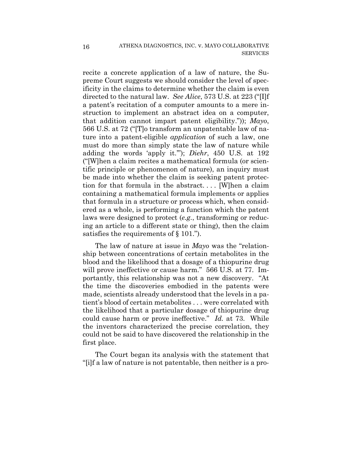recite a concrete application of a law of nature, the Supreme Court suggests we should consider the level of specificity in the claims to determine whether the claim is even directed to the natural law. *See Alice*, 573 U.S. at 223 ("[I]f a patent's recitation of a computer amounts to a mere instruction to implement an abstract idea on a computer, that addition cannot impart patent eligibility.")); *Mayo*, 566 U.S. at 72 ("[T]o transform an unpatentable law of nature into a patent-eligible *application* of such a law, one must do more than simply state the law of nature while adding the words 'apply it.'"); *Diehr*, 450 U.S. at 192 ("[W]hen a claim recites a mathematical formula (or scientific principle or phenomenon of nature), an inquiry must be made into whether the claim is seeking patent protection for that formula in the abstract. . . . [W]hen a claim containing a mathematical formula implements or applies that formula in a structure or process which, when considered as a whole, is performing a function which the patent laws were designed to protect (*e.g.*, transforming or reducing an article to a different state or thing), then the claim satisfies the requirements of § 101.").

The law of nature at issue in *Mayo* was the "relationship between concentrations of certain metabolites in the blood and the likelihood that a dosage of a thiopurine drug will prove ineffective or cause harm." 566 U.S. at 77. Importantly, this relationship was not a new discovery. "At the time the discoveries embodied in the patents were made, scientists already understood that the levels in a patient's blood of certain metabolites . . . were correlated with the likelihood that a particular dosage of thiopurine drug could cause harm or prove ineffective." *Id.* at 73. While the inventors characterized the precise correlation, they could not be said to have discovered the relationship in the first place.

The Court began its analysis with the statement that "[i]f a law of nature is not patentable, then neither is a pro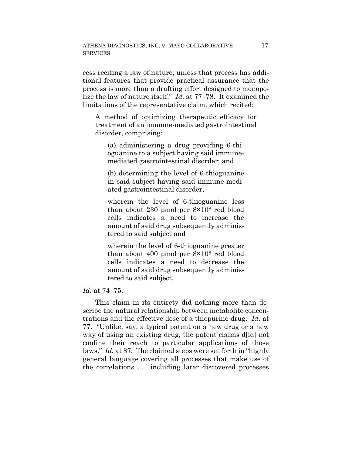cess reciting a law of nature, unless that process has additional features that provide practical assurance that the process is more than a drafting effort designed to monopolize the law of nature itself." *Id.* at 77–78. It examined the limitations of the representative claim, which recited:

A method of optimizing therapeutic efficacy for treatment of an immune-mediated gastrointestinal disorder, comprising:

(a) administering a drug providing 6-thioguanine to a subject having said immunemediated gastrointestinal disorder; and

(b) determining the level of 6-thioguanine in said subject having said immune-mediated gastrointestinal disorder,

wherein the level of 6-thioguanine less than about 230 pmol per 8×108 red blood cells indicates a need to increase the amount of said drug subsequently administered to said subject and

wherein the level of 6-thioguanine greater than about 400 pmol per 8×108 red blood cells indicates a need to decrease the amount of said drug subsequently administered to said subject.

#### *Id.* at 74–75.

This claim in its entirety did nothing more than describe the natural relationship between metabolite concentrations and the effective dose of a thiopurine drug. *Id.* at 77. "Unlike, say, a typical patent on a new drug or a new way of using an existing drug, the patent claims doll not confine their reach to particular applications of those laws." *Id.* at 87. The claimed steps were set forth in "highly general language covering all processes that make use of the correlations . . . including later discovered processes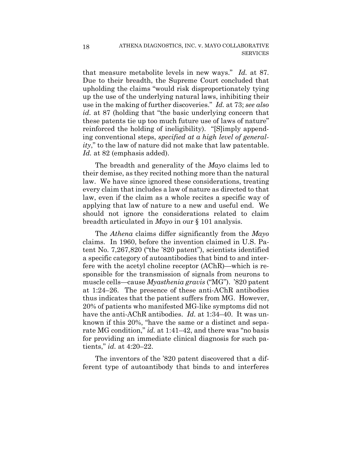that measure metabolite levels in new ways." *Id.* at 87. Due to their breadth, the Supreme Court concluded that upholding the claims "would risk disproportionately tying up the use of the underlying natural laws, inhibiting their use in the making of further discoveries." *Id.* at 73; *see also id.* at 87 (holding that "the basic underlying concern that these patents tie up too much future use of laws of nature" reinforced the holding of ineligibility). "[S]imply appending conventional steps, *specified at a high level of generality*," to the law of nature did not make that law patentable. *Id.* at 82 (emphasis added).

The breadth and generality of the *Mayo* claims led to their demise, as they recited nothing more than the natural law. We have since ignored these considerations, treating every claim that includes a law of nature as directed to that law, even if the claim as a whole recites a specific way of applying that law of nature to a new and useful end. We should not ignore the considerations related to claim breadth articulated in *Mayo* in our § 101 analysis.

The *Athena* claims differ significantly from the *Mayo* claims. In 1960, before the invention claimed in U.S. Patent No. 7,267,820 ("the '820 patent"), scientists identified a specific category of autoantibodies that bind to and interfere with the acetyl choline receptor (AChR)—which is responsible for the transmission of signals from neurons to muscle cells—cause *Myasthenia gravis* ("MG"). '820 patent at 1:24–26. The presence of these anti-AChR antibodies thus indicates that the patient suffers from MG. However, 20% of patients who manifested MG-like symptoms did not have the anti-AChR antibodies. *Id.* at 1:34–40. It was unknown if this 20%, "have the same or a distinct and separate MG condition," *id.* at 1:41–42, and there was "no basis for providing an immediate clinical diagnosis for such patients," *id.* at 4:20–22.

The inventors of the '820 patent discovered that a different type of autoantibody that binds to and interferes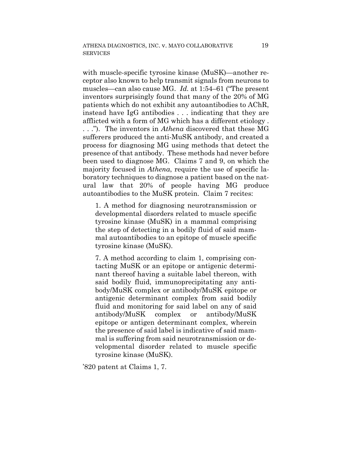with muscle-specific tyrosine kinase (MuSK)—another receptor also known to help transmit signals from neurons to muscles—can also cause MG. *Id.* at 1:54–61 ("The present inventors surprisingly found that many of the 20% of MG patients which do not exhibit any autoantibodies to AChR, instead have IgG antibodies . . . indicating that they are afflicted with a form of MG which has a different etiology . . . .").The inventors in *Athena* discovered that these MG sufferers produced the anti-MuSK antibody, and created a process for diagnosing MG using methods that detect the presence of that antibody. These methods had never before been used to diagnose MG. Claims 7 and 9, on which the majority focused in *Athena*, require the use of specific laboratory techniques to diagnose a patient based on the natural law that 20% of people having MG produce autoantibodies to the MuSK protein. Claim 7 recites:

1. A method for diagnosing neurotransmission or developmental disorders related to muscle specific tyrosine kinase (MuSK) in a mammal comprising the step of detecting in a bodily fluid of said mammal autoantibodies to an epitope of muscle specific tyrosine kinase (MuSK).

7. A method according to claim 1, comprising contacting MuSK or an epitope or antigenic determinant thereof having a suitable label thereon, with said bodily fluid, immunoprecipitating any antibody/MuSK complex or antibody/MuSK epitope or antigenic determinant complex from said bodily fluid and monitoring for said label on any of said antibody/MuSK complex or antibody/MuSK epitope or antigen determinant complex, wherein the presence of said label is indicative of said mammal is suffering from said neurotransmission or developmental disorder related to muscle specific tyrosine kinase (MuSK).

'820 patent at Claims 1, 7.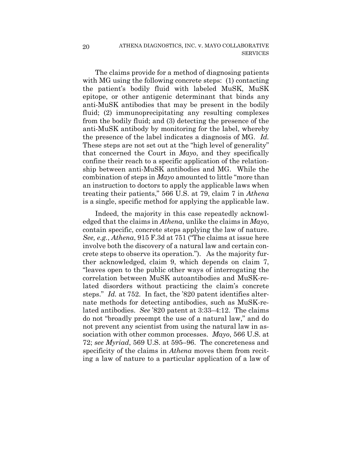The claims provide for a method of diagnosing patients with MG using the following concrete steps: (1) contacting the patient's bodily fluid with labeled MuSK, MuSK epitope, or other antigenic determinant that binds any anti-MuSK antibodies that may be present in the bodily fluid; (2) immunoprecipitating any resulting complexes from the bodily fluid; and (3) detecting the presence of the anti-MuSK antibody by monitoring for the label, whereby the presence of the label indicates a diagnosis of MG. *Id.* These steps are not set out at the "high level of generality" that concerned the Court in *Mayo*, and they specifically confine their reach to a specific application of the relationship between anti-MuSK antibodies and MG. While the combination of steps in *Mayo* amounted to little "more than an instruction to doctors to apply the applicable laws when treating their patients," 566 U.S. at 79, claim 7 in *Athena*  is a single, specific method for applying the applicable law.

Indeed, the majority in this case repeatedly acknowledged that the claims in *Athena*, unlike the claims in *Mayo*, contain specific, concrete steps applying the law of nature. *See, e.g.*, *Athena*, 915 F.3d at 751 ("The claims at issue here involve both the discovery of a natural law and certain concrete steps to observe its operation."). As the majority further acknowledged, claim 9, which depends on claim 7, "leaves open to the public other ways of interrogating the correlation between MuSK autoantibodies and MuSK-related disorders without practicing the claim's concrete steps." *Id.* at 752. In fact, the '820 patent identifies alternate methods for detecting antibodies, such as MuSK-related antibodies. *See* '820 patent at 3:33–4:12. The claims do not "broadly preempt the use of a natural law," and do not prevent any scientist from using the natural law in association with other common processes. *Mayo*, 566 U.S. at 72; *see Myriad*, 569 U.S. at 595–96. The concreteness and specificity of the claims in *Athena* moves them from reciting a law of nature to a particular application of a law of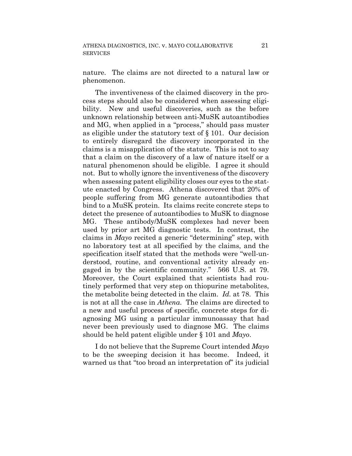nature. The claims are not directed to a natural law or phenomenon.

The inventiveness of the claimed discovery in the process steps should also be considered when assessing eligibility. New and useful discoveries, such as the before unknown relationship between anti-MuSK autoantibodies and MG, when applied in a "process," should pass muster as eligible under the statutory text of § 101. Our decision to entirely disregard the discovery incorporated in the claims is a misapplication of the statute. This is not to say that a claim on the discovery of a law of nature itself or a natural phenomenon should be eligible. I agree it should not. But to wholly ignore the inventiveness of the discovery when assessing patent eligibility closes our eyes to the statute enacted by Congress. Athena discovered that 20% of people suffering from MG generate autoantibodies that bind to a MuSK protein. Its claims recite concrete steps to detect the presence of autoantibodies to MuSK to diagnose MG. These antibody/MuSK complexes had never been used by prior art MG diagnostic tests. In contrast, the claims in *Mayo* recited a generic "determining" step, with no laboratory test at all specified by the claims, and the specification itself stated that the methods were "well-understood, routine, and conventional activity already engaged in by the scientific community." 566 U.S. at 79. Moreover, the Court explained that scientists had routinely performed that very step on thiopurine metabolites, the metabolite being detected in the claim. *Id.* at 78. This is not at all the case in *Athena*. The claims are directed to a new and useful process of specific, concrete steps for diagnosing MG using a particular immunoassay that had never been previously used to diagnose MG. The claims should be held patent eligible under § 101 and *Mayo*.

I do not believe that the Supreme Court intended *Mayo* to be the sweeping decision it has become. Indeed, it warned us that "too broad an interpretation of" its judicial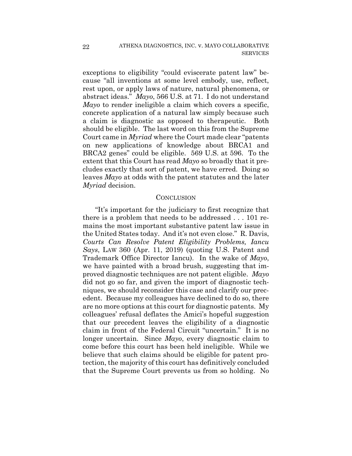exceptions to eligibility "could eviscerate patent law" because "all inventions at some level embody, use, reflect, rest upon, or apply laws of nature, natural phenomena, or abstract ideas." *Mayo*, 566 U.S. at 71. I do not understand *Mayo* to render ineligible a claim which covers a specific, concrete application of a natural law simply because such a claim is diagnostic as opposed to therapeutic. Both should be eligible. The last word on this from the Supreme Court came in *Myriad* where the Court made clear "patents on new applications of knowledge about BRCA1 and BRCA2 genes" could be eligible. 569 U.S. at 596. To the extent that this Court has read *Mayo* so broadly that it precludes exactly that sort of patent, we have erred. Doing so leaves *Mayo* at odds with the patent statutes and the later *Myriad* decision.

## **CONCLUSION**

"It's important for the judiciary to first recognize that there is a problem that needs to be addressed . . . 101 remains the most important substantive patent law issue in the United States today. And it's not even close." R. Davis, *Courts Can Resolve Patent Eligibility Problems, Iancu Says*, LAW 360 (Apr. 11, 2019) (quoting U.S. Patent and Trademark Office Director Iancu). In the wake of *Mayo*, we have painted with a broad brush, suggesting that improved diagnostic techniques are not patent eligible. *Mayo* did not go so far, and given the import of diagnostic techniques, we should reconsider this case and clarify our precedent. Because my colleagues have declined to do so, there are no more options at this court for diagnostic patents. My colleagues' refusal deflates the Amici's hopeful suggestion that our precedent leaves the eligibility of a diagnostic claim in front of the Federal Circuit "uncertain." It is no longer uncertain. Since *Mayo*, every diagnostic claim to come before this court has been held ineligible. While we believe that such claims should be eligible for patent protection, the majority of this court has definitively concluded that the Supreme Court prevents us from so holding. No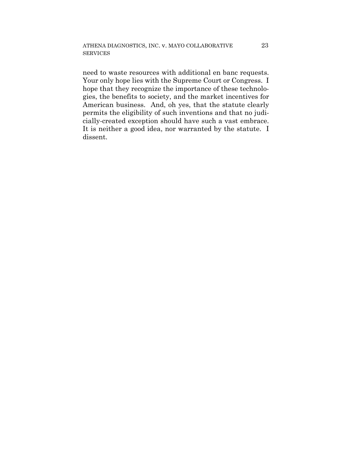need to waste resources with additional en banc requests. Your only hope lies with the Supreme Court or Congress. I hope that they recognize the importance of these technologies, the benefits to society, and the market incentives for American business. And, oh yes, that the statute clearly permits the eligibility of such inventions and that no judicially-created exception should have such a vast embrace. It is neither a good idea, nor warranted by the statute. I dissent.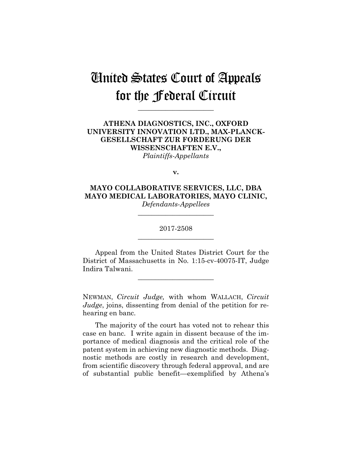# United States Court of Appeals for the Federal Circuit

**\_\_\_\_\_\_\_\_\_\_\_\_\_\_\_\_\_\_\_\_\_\_**

# **ATHENA DIAGNOSTICS, INC., OXFORD UNIVERSITY INNOVATION LTD., MAX-PLANCK-GESELLSCHAFT ZUR FORDERUNG DER WISSENSCHAFTEN E.V.,** *Plaintiffs-Appellants*

**v.**

**MAYO COLLABORATIVE SERVICES, LLC, DBA MAYO MEDICAL LABORATORIES, MAYO CLINIC,** *Defendants-Appellees*

> 2017-2508 **\_\_\_\_\_\_\_\_\_\_\_\_\_\_\_\_\_\_\_\_\_\_**

> **\_\_\_\_\_\_\_\_\_\_\_\_\_\_\_\_\_\_\_\_\_\_**

Appeal from the United States District Court for the District of Massachusetts in No. 1:15-cv-40075-IT, Judge Indira Talwani.

**\_\_\_\_\_\_\_\_\_\_\_\_\_\_\_\_\_\_\_\_\_\_**

NEWMAN, *Circuit Judge,* with whom WALLACH, *Circuit Judge*, joins, dissenting from denial of the petition for rehearing en banc.

The majority of the court has voted not to rehear this case en banc. I write again in dissent because of the importance of medical diagnosis and the critical role of the patent system in achieving new diagnostic methods. Diagnostic methods are costly in research and development, from scientific discovery through federal approval, and are of substantial public benefit—exemplified by Athena's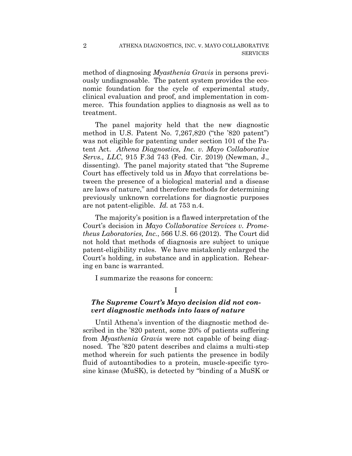method of diagnosing *Myasthenia Gravis* in persons previously undiagnosable. The patent system provides the economic foundation for the cycle of experimental study, clinical evaluation and proof, and implementation in commerce. This foundation applies to diagnosis as well as to treatment.

The panel majority held that the new diagnostic method in U.S. Patent No. 7,267,820 ("the '820 patent") was not eligible for patenting under section 101 of the Patent Act. *Athena Diagnostics, Inc. v. Mayo Collaborative Servs., LLC*, 915 F.3d 743 (Fed. Cir. 2019) (Newman, J., dissenting). The panel majority stated that "the Supreme Court has effectively told us in *Mayo* that correlations between the presence of a biological material and a disease are laws of nature," and therefore methods for determining previously unknown correlations for diagnostic purposes are not patent-eligible. *Id.* at 753 n.4.

The majority's position is a flawed interpretation of the Court's decision in *Mayo Collaborative Services v. Prometheus Laboratories, Inc.*, 566 U.S. 66 (2012). The Court did not hold that methods of diagnosis are subject to unique patent-eligibility rules. We have mistakenly enlarged the Court's holding, in substance and in application. Rehearing en banc is warranted.

I summarize the reasons for concern:

## I

## *The Supreme Court's Mayo decision did not convert diagnostic methods into laws of nature*

Until Athena's invention of the diagnostic method described in the '820 patent, some 20% of patients suffering from *Myasthenia Gravis* were not capable of being diagnosed. The '820 patent describes and claims a multi-step method wherein for such patients the presence in bodily fluid of autoantibodies to a protein, muscle-specific tyrosine kinase (MuSK), is detected by "binding of a MuSK or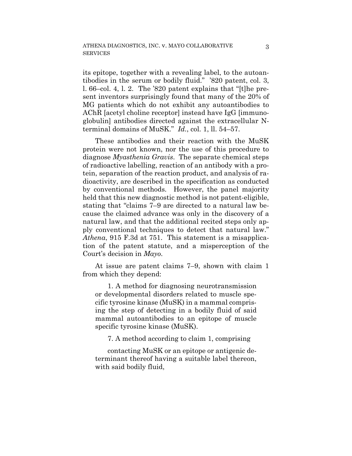its epitope, together with a revealing label, to the autoantibodies in the serum or bodily fluid." '820 patent, col. 3, l. 66–col. 4, l. 2. The '820 patent explains that "[t]he present inventors surprisingly found that many of the 20% of MG patients which do not exhibit any autoantibodies to AChR [acetyl choline receptor] instead have IgG [immunoglobulin] antibodies directed against the extracellular Nterminal domains of MuSK." *Id.*, col. 1, ll. 54–57.

These antibodies and their reaction with the MuSK protein were not known, nor the use of this procedure to diagnose *Myasthenia Gravis*. The separate chemical steps of radioactive labelling, reaction of an antibody with a protein, separation of the reaction product, and analysis of radioactivity, are described in the specification as conducted by conventional methods. However, the panel majority held that this new diagnostic method is not patent-eligible, stating that "claims 7–9 are directed to a natural law because the claimed advance was only in the discovery of a natural law, and that the additional recited steps only apply conventional techniques to detect that natural law." *Athena*, 915 F.3d at 751. This statement is a misapplication of the patent statute, and a misperception of the Court's decision in *Mayo*.

At issue are patent claims 7–9, shown with claim 1 from which they depend:

1. A method for diagnosing neurotransmission or developmental disorders related to muscle specific tyrosine kinase (MuSK) in a mammal comprising the step of detecting in a bodily fluid of said mammal autoantibodies to an epitope of muscle specific tyrosine kinase (MuSK).

7. A method according to claim 1, comprising

contacting MuSK or an epitope or antigenic determinant thereof having a suitable label thereon, with said bodily fluid,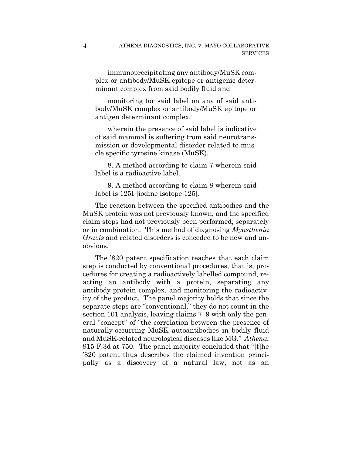immunoprecipitating any antibody/MuSK complex or antibody/MuSK epitope or antigenic determinant complex from said bodily fluid and

monitoring for said label on any of said antibody/MuSK complex or antibody/MuSK epitope or antigen determinant complex,

wherein the presence of said label is indicative of said mammal is suffering from said neurotransmission or developmental disorder related to muscle specific tyrosine kinase (MuSK).

8. A method according to claim 7 wherein said label is a radioactive label.

9. A method according to claim 8 wherein said label is 125I [iodine isotope 125].

The reaction between the specified antibodies and the MuSK protein was not previously known, and the specified claim steps had not previously been performed, separately or in combination. This method of diagnosing *Myasthenia Gravis* and related disorders is conceded to be new and unobvious.

The '820 patent specification teaches that each claim step is conducted by conventional procedures, that is, procedures for creating a radioactively labelled compound, reacting an antibody with a protein, separating any antibody-protein complex, and monitoring the radioactivity of the product. The panel majority holds that since the separate steps are "conventional," they do not count in the section 101 analysis, leaving claims 7–9 with only the general "concept" of "the correlation between the presence of naturally-occurring MuSK autoantibodies in bodily fluid and MuSK-related neurological diseases like MG." *Athena*, 915 F.3d at 750. The panel majority concluded that "[t]he '820 patent thus describes the claimed invention principally as a discovery of a natural law, not as an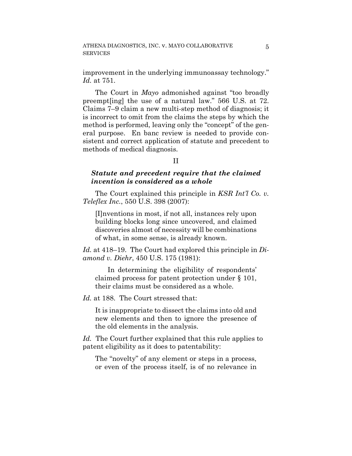improvement in the underlying immunoassay technology." *Id.* at 751.

The Court in *Mayo* admonished against "too broadly preempt[ing] the use of a natural law." 566 U.S. at 72. Claims 7–9 claim a new multi-step method of diagnosis; it is incorrect to omit from the claims the steps by which the method is performed, leaving only the "concept" of the general purpose. En banc review is needed to provide consistent and correct application of statute and precedent to methods of medical diagnosis.

### II

## *Statute and precedent require that the claimed invention is considered as a whole*

The Court explained this principle in *KSR Int'l Co. v. Teleflex Inc.*, 550 U.S. 398 (2007):

[I]nventions in most, if not all, instances rely upon building blocks long since uncovered, and claimed discoveries almost of necessity will be combinations of what, in some sense, is already known.

*Id.* at 418–19. The Court had explored this principle in *Diamond v. Diehr*, 450 U.S. 175 (1981):

In determining the eligibility of respondents' claimed process for patent protection under § 101, their claims must be considered as a whole.

*Id.* at 188. The Court stressed that:

It is inappropriate to dissect the claims into old and new elements and then to ignore the presence of the old elements in the analysis.

*Id.* The Court further explained that this rule applies to patent eligibility as it does to patentability:

The "novelty" of any element or steps in a process, or even of the process itself, is of no relevance in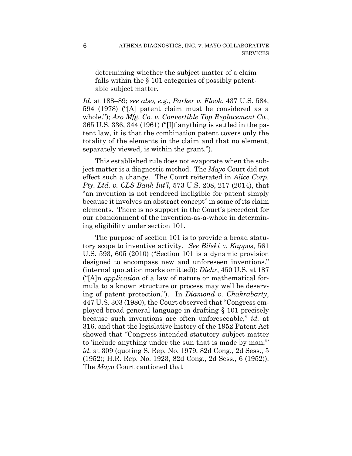determining whether the subject matter of a claim falls within the § 101 categories of possibly patentable subject matter.

*Id.* at 188–89; *see also, e.g.*, *Parker v. Flook*, 437 U.S. 584, 594 (1978) ("[A] patent claim must be considered as a whole."); *Aro Mfg. Co. v. Convertible Top Replacement Co.*, 365 U.S. 336, 344 (1961) ("[I]f anything is settled in the patent law, it is that the combination patent covers only the totality of the elements in the claim and that no element, separately viewed, is within the grant.").

This established rule does not evaporate when the subject matter is a diagnostic method. The *Mayo* Court did not effect such a change. The Court reiterated in *Alice Corp. Pty. Ltd. v. CLS Bank Int'l*, 573 U.S. 208, 217 (2014), that "an invention is not rendered ineligible for patent simply because it involves an abstract concept" in some of its claim elements. There is no support in the Court's precedent for our abandonment of the invention-as-a-whole in determining eligibility under section 101.

The purpose of section 101 is to provide a broad statutory scope to inventive activity. *See Bilski v. Kappos*, 561 U.S. 593, 605 (2010) ("Section 101 is a dynamic provision designed to encompass new and unforeseen inventions." (internal quotation marks omitted)); *Diehr*, 450 U.S. at 187 ("[A]n *application* of a law of nature or mathematical formula to a known structure or process may well be deserving of patent protection."). In *Diamond v. Chakrabarty*, 447 U.S. 303 (1980), the Court observed that "Congress employed broad general language in drafting § 101 precisely because such inventions are often unforeseeable," *id.* at 316, and that the legislative history of the 1952 Patent Act showed that "Congress intended statutory subject matter to 'include anything under the sun that is made by man,'" *id.* at 309 (quoting S. Rep. No. 1979, 82d Cong., 2d Sess., 5 (1952); H.R. Rep. No. 1923, 82d Cong., 2d Sess., 6 (1952)). The *Mayo* Court cautioned that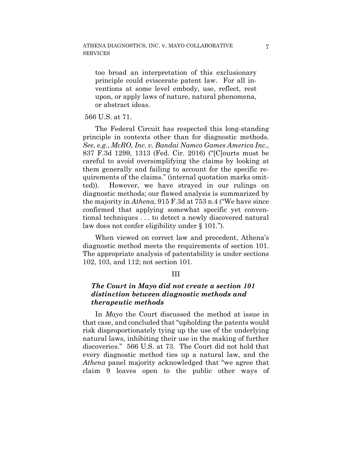too broad an interpretation of this exclusionary principle could eviscerate patent law. For all inventions at some level embody, use, reflect, rest upon, or apply laws of nature, natural phenomena, or abstract ideas.

## 566 U.S. at 71.

The Federal Circuit has respected this long-standing principle in contexts other than for diagnostic methods. *See, e.g.*, *McRO, Inc. v. Bandai Namco Games America Inc.*, 837 F.3d 1299, 1313 (Fed. Cir. 2016) ("[C]ourts must be careful to avoid oversimplifying the claims by looking at them generally and failing to account for the specific requirements of the claims." (internal quotation marks omitted)). However, we have strayed in our rulings on diagnostic methods; our flawed analysis is summarized by the majority in *Athena*, 915 F.3d at 753 n.4 ("We have since confirmed that applying somewhat specific yet conventional techniques . . . to detect a newly discovered natural law does not confer eligibility under § 101.").

When viewed on correct law and precedent, Athena's diagnostic method meets the requirements of section 101. The appropriate analysis of patentability is under sections 102, 103, and 112; not section 101.

#### III

## *The Court in Mayo did not create a section 101 distinction between diagnostic methods and therapeutic methods*

In *Mayo* the Court discussed the method at issue in that case, and concluded that "upholding the patents would risk disproportionately tying up the use of the underlying natural laws, inhibiting their use in the making of further discoveries." 566 U.S. at 73. The Court did not hold that every diagnostic method ties up a natural law, and the *Athena* panel majority acknowledged that "we agree that claim 9 leaves open to the public other ways of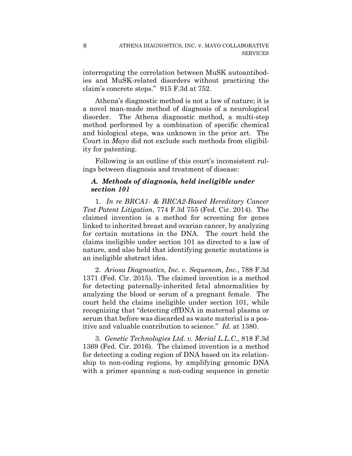interrogating the correlation between MuSK autoantibodies and MuSK-related disorders without practicing the claim's concrete steps." 915 F.3d at 752.

8

Athena's diagnostic method is not a law of nature; it is a novel man-made method of diagnosis of a neurological disorder. The Athena diagnostic method, a multi-step method performed by a combination of specific chemical and biological steps, was unknown in the prior art. The Court in *Mayo* did not exclude such methods from eligibility for patenting.

Following is an outline of this court's inconsistent rulings between diagnosis and treatment of disease:

# *A. Methods of diagnosis, held ineligible under section 101*

1. *In re BRCA1- & BRCA2-Based Hereditary Cancer Test Patent Litigation*, 774 F.3d 755 (Fed. Cir. 2014). The claimed invention is a method for screening for genes linked to inherited breast and ovarian cancer, by analyzing for certain mutations in the DNA. The court held the claims ineligible under section 101 as directed to a law of nature, and also held that identifying genetic mutations is an ineligible abstract idea.

2. *Ariosa Diagnostics, Inc. v. Sequenom, Inc.*, 788 F.3d 1371 (Fed. Cir. 2015). The claimed invention is a method for detecting paternally-inherited fetal abnormalities by analyzing the blood or serum of a pregnant female. The court held the claims ineligible under section 101, while recognizing that "detecting cffDNA in maternal plasma or serum that before was discarded as waste material is a positive and valuable contribution to science." *Id.* at 1380.

3. *Genetic Technologies Ltd. v. Merial L.L.C.*, 818 F.3d 1369 (Fed. Cir. 2016). The claimed invention is a method for detecting a coding region of DNA based on its relationship to non-coding regions, by amplifying genomic DNA with a primer spanning a non-coding sequence in genetic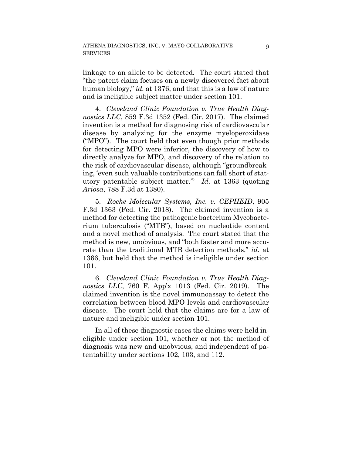linkage to an allele to be detected. The court stated that "the patent claim focuses on a newly discovered fact about human biology," *id.* at 1376, and that this is a law of nature and is ineligible subject matter under section 101.

4. *Cleveland Clinic Foundation v. True Health Diagnostics LLC*, 859 F.3d 1352 (Fed. Cir. 2017). The claimed invention is a method for diagnosing risk of cardiovascular disease by analyzing for the enzyme myeloperoxidase ("MPO"). The court held that even though prior methods for detecting MPO were inferior, the discovery of how to directly analyze for MPO, and discovery of the relation to the risk of cardiovascular disease, although "groundbreaking, 'even such valuable contributions can fall short of statutory patentable subject matter.'" *Id.* at 1363 (quoting *Ariosa*, 788 F.3d at 1380).

5. *Roche Molecular Systems, Inc. v. CEPHEID*, 905 F.3d 1363 (Fed. Cir. 2018). The claimed invention is a method for detecting the pathogenic bacterium Mycobacterium tuberculosis ("MTB"), based on nucleotide content and a novel method of analysis. The court stated that the method is new, unobvious, and "both faster and more accurate than the traditional MTB detection methods," *id.* at 1366, but held that the method is ineligible under section 101.

6. *Cleveland Clinic Foundation v. True Health Diagnostics LLC*, 760 F. App'x 1013 (Fed. Cir. 2019). The claimed invention is the novel immunoassay to detect the correlation between blood MPO levels and cardiovascular disease. The court held that the claims are for a law of nature and ineligible under section 101.

In all of these diagnostic cases the claims were held ineligible under section 101, whether or not the method of diagnosis was new and unobvious, and independent of patentability under sections 102, 103, and 112.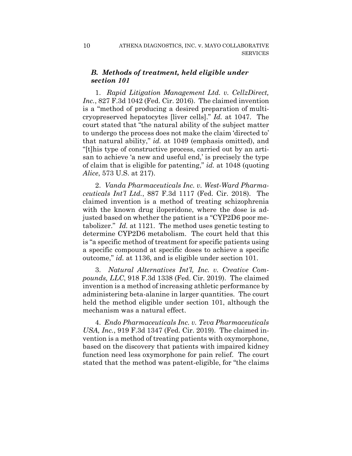### *B. Methods of treatment, held eligible under section 101*

1. *Rapid Litigation Management Ltd. v. CellzDirect, Inc.*, 827 F.3d 1042 (Fed. Cir. 2016). The claimed invention is a "method of producing a desired preparation of multicryopreserved hepatocytes [liver cells]." *Id.* at 1047. The court stated that "the natural ability of the subject matter to undergo the process does not make the claim 'directed to' that natural ability," *id.* at 1049 (emphasis omitted), and "[t]his type of constructive process, carried out by an artisan to achieve 'a new and useful end,' is precisely the type of claim that is eligible for patenting," *id.* at 1048 (quoting *Alice*, 573 U.S. at 217).

2. *Vanda Pharmaceuticals Inc. v. West-Ward Pharmaceuticals Int'l Ltd.*, 887 F.3d 1117 (Fed. Cir. 2018). The claimed invention is a method of treating schizophrenia with the known drug iloperidone, where the dose is adjusted based on whether the patient is a "CYP2D6 poor metabolizer." *Id.* at 1121. The method uses genetic testing to determine CYP2D6 metabolism. The court held that this is "a specific method of treatment for specific patients using a specific compound at specific doses to achieve a specific outcome," *id.* at 1136, and is eligible under section 101.

3. *Natural Alternatives Int'l, Inc. v. Creative Compounds, LLC*, 918 F.3d 1338 (Fed. Cir. 2019). The claimed invention is a method of increasing athletic performance by administering beta-alanine in larger quantities. The court held the method eligible under section 101, although the mechanism was a natural effect.

4. *Endo Pharmaceuticals Inc. v. Teva Pharmaceuticals USA, Inc.*, 919 F.3d 1347 (Fed. Cir. 2019). The claimed invention is a method of treating patients with oxymorphone, based on the discovery that patients with impaired kidney function need less oxymorphone for pain relief. The court stated that the method was patent-eligible, for "the claims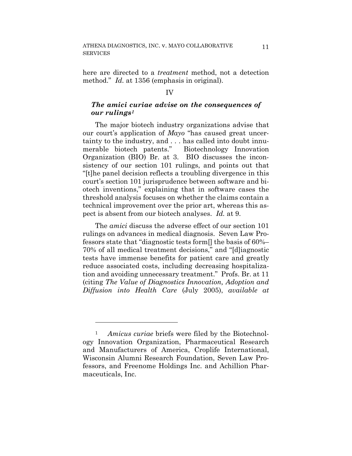here are directed to a *treatment* method, not a detection method." *Id.* at 1356 (emphasis in original).

#### IV

### *The amici curiae advise on the consequences of our rulings1*

The major biotech industry organizations advise that our court's application of *Mayo* "has caused great uncertainty to the industry, and . . . has called into doubt innumerable biotech patents." Biotechnology Innovation Organization (BIO) Br. at 3. BIO discusses the inconsistency of our section 101 rulings, and points out that "[t]he panel decision reflects a troubling divergence in this court's section 101 jurisprudence between software and biotech inventions," explaining that in software cases the threshold analysis focuses on whether the claims contain a technical improvement over the prior art, whereas this aspect is absent from our biotech analyses. *Id.* at 9.

The *amici* discuss the adverse effect of our section 101 rulings on advances in medical diagnosis. Seven Law Professors state that "diagnostic tests form[] the basis of 60%– 70% of all medical treatment decisions," and "[d]iagnostic tests have immense benefits for patient care and greatly reduce associated costs, including decreasing hospitalization and avoiding unnecessary treatment." Profs. Br. at 11 (citing *The Value of Diagnostics Innovation, Adoption and Diffusion into Health Care* (July 2005), *available at*

1

<sup>1</sup> *Amicus curiae* briefs were filed by the Biotechnology Innovation Organization, Pharmaceutical Research and Manufacturers of America, Croplife International, Wisconsin Alumni Research Foundation, Seven Law Professors, and Freenome Holdings Inc. and Achillion Pharmaceuticals, Inc.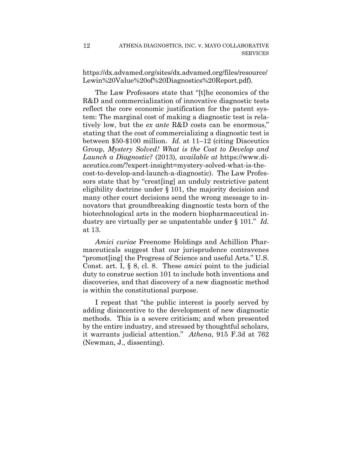https://dx.advamed.org/sites/dx.advamed.org/files/resource/ Lewin%20Value%20of%20Diagnostics%20Report.pdf).

The Law Professors state that "[t]he economics of the R&D and commercialization of innovative diagnostic tests reflect the core economic justification for the patent system: The marginal cost of making a diagnostic test is relatively low, but the *ex ante* R&D costs can be enormous," stating that the cost of commercializing a diagnostic test is between \$50-\$100 million. *Id.* at 11–12 (citing Diaceutics Group, *Mystery Solved! What is the Cost to Develop and Launch a Diagnostic?* (2013)*, available at* https://www.diaceutics.com/?expert-insight=mystery-solved-what-is-thecost-to-develop-and-launch-a-diagnostic). The Law Professors state that by "creat[ing] an unduly restrictive patent eligibility doctrine under § 101, the majority decision and many other court decisions send the wrong message to innovators that groundbreaking diagnostic tests born of the biotechnological arts in the modern biopharmaceutical industry are virtually per se unpatentable under § 101." *Id.* at 13.

*Amici curiae* Freenome Holdings and Achillion Pharmaceuticals suggest that our jurisprudence contravenes "promot[ing] the Progress of Science and useful Arts." U.S. Const. art. I, § 8, cl. 8. These *amici* point to the judicial duty to construe section 101 to include both inventions and discoveries, and that discovery of a new diagnostic method is within the constitutional purpose.

I repeat that "the public interest is poorly served by adding disincentive to the development of new diagnostic methods. This is a severe criticism; and when presented by the entire industry, and stressed by thoughtful scholars, it warrants judicial attention." *Athena*, 915 F.3d at 762 (Newman, J., dissenting).

12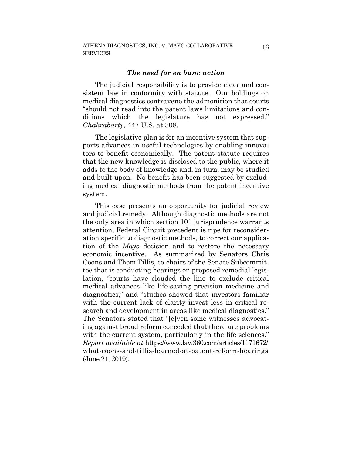#### *The need for en banc action*

The judicial responsibility is to provide clear and consistent law in conformity with statute. Our holdings on medical diagnostics contravene the admonition that courts "should not read into the patent laws limitations and conditions which the legislature has not expressed." *Chakrabarty*, 447 U.S. at 308.

The legislative plan is for an incentive system that supports advances in useful technologies by enabling innovators to benefit economically. The patent statute requires that the new knowledge is disclosed to the public, where it adds to the body of knowledge and, in turn, may be studied and built upon. No benefit has been suggested by excluding medical diagnostic methods from the patent incentive system.

This case presents an opportunity for judicial review and judicial remedy. Although diagnostic methods are not the only area in which section 101 jurisprudence warrants attention, Federal Circuit precedent is ripe for reconsideration specific to diagnostic methods, to correct our application of the *Mayo* decision and to restore the necessary economic incentive. As summarized by Senators Chris Coons and Thom Tillis, co-chairs of the Senate Subcommittee that is conducting hearings on proposed remedial legislation, "courts have clouded the line to exclude critical medical advances like life-saving precision medicine and diagnostics," and "studies showed that investors familiar with the current lack of clarity invest less in critical research and development in areas like medical diagnostics." The Senators stated that "[e]ven some witnesses advocating against broad reform conceded that there are problems with the current system, particularly in the life sciences." *Report available at* https://www.law360.com/articles/1171672/ what-coons-and-tillis-learned-at-patent-reform-hearings (June 21, 2019).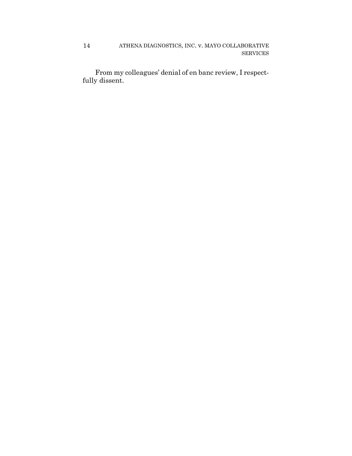ATHENA DIAGNOSTICS, INC. v. MAYO COLLABORATIVE SERVICES 14

From my colleagues' denial of en banc review, I respectfully dissent.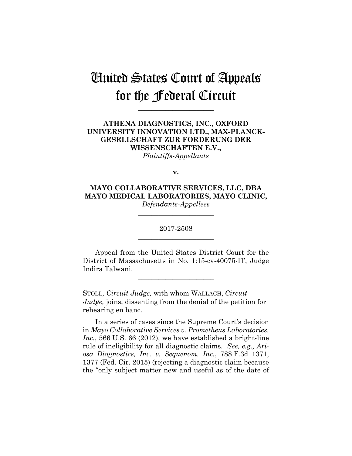# United States Court of Appeals for the Federal Circuit

**\_\_\_\_\_\_\_\_\_\_\_\_\_\_\_\_\_\_\_\_\_\_**

### **ATHENA DIAGNOSTICS, INC., OXFORD UNIVERSITY INNOVATION LTD., MAX-PLANCK-GESELLSCHAFT ZUR FORDERUNG DER WISSENSCHAFTEN E.V.,** *Plaintiffs-Appellants*

**v.**

**MAYO COLLABORATIVE SERVICES, LLC, DBA MAYO MEDICAL LABORATORIES, MAYO CLINIC,** *Defendants-Appellees*

> 2017-2508 **\_\_\_\_\_\_\_\_\_\_\_\_\_\_\_\_\_\_\_\_\_\_**

> **\_\_\_\_\_\_\_\_\_\_\_\_\_\_\_\_\_\_\_\_\_\_**

Appeal from the United States District Court for the District of Massachusetts in No. 1:15-cv-40075-IT, Judge Indira Talwani.

**\_\_\_\_\_\_\_\_\_\_\_\_\_\_\_\_\_\_\_\_\_\_**

STOLL, *Circuit Judge,* with whom WALLACH, *Circuit Judge,* joins, dissenting from the denial of the petition for rehearing en banc.

In a series of cases since the Supreme Court's decision in *Mayo Collaborative Services v. Prometheus Laboratories, Inc.*, 566 U.S. 66 (2012), we have established a bright-line rule of ineligibility for all diagnostic claims. *See, e.g., Ariosa Diagnostics, Inc. v. Sequenom, Inc.*, 788 F.3d 1371, 1377 (Fed. Cir. 2015) (rejecting a diagnostic claim because the "only subject matter new and useful as of the date of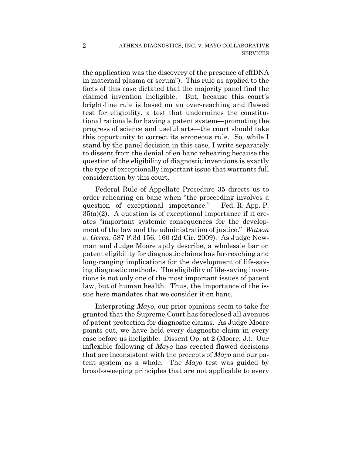the application was the discovery of the presence of cffDNA in maternal plasma or serum"). This rule as applied to the facts of this case dictated that the majority panel find the claimed invention ineligible. But, because this court's bright-line rule is based on an over-reaching and flawed test for eligibility, a test that undermines the constitutional rationale for having a patent system—promoting the progress of science and useful arts—the court should take this opportunity to correct its erroneous rule. So, while I stand by the panel decision in this case, I write separately to dissent from the denial of en banc rehearing because the question of the eligibility of diagnostic inventions is exactly the type of exceptionally important issue that warrants full consideration by this court.

Federal Rule of Appellate Procedure 35 directs us to order rehearing en banc when "the proceeding involves a question of exceptional importance." Fed. R. App. P.  $35(a)(2)$ . A question is of exceptional importance if it creates "important systemic consequences for the development of the law and the administration of justice." *Watson v. Geren*, 587 F.3d 156, 160 (2d Cir. 2009). As Judge Newman and Judge Moore aptly describe, a wholesale bar on patent eligibility for diagnostic claims has far-reaching and long-ranging implications for the development of life-saving diagnostic methods. The eligibility of life-saving inventions is not only one of the most important issues of patent law, but of human health. Thus, the importance of the issue here mandates that we consider it en banc.

Interpreting *Mayo*, our prior opinions seem to take for granted that the Supreme Court has foreclosed all avenues of patent protection for diagnostic claims. As Judge Moore points out, we have held every diagnostic claim in every case before us ineligible. Dissent Op. at 2 (Moore, J.). Our inflexible following of *Mayo* has created flawed decisions that are inconsistent with the precepts of *Mayo* and our patent system as a whole. The *Mayo* test was guided by broad-sweeping principles that are not applicable to every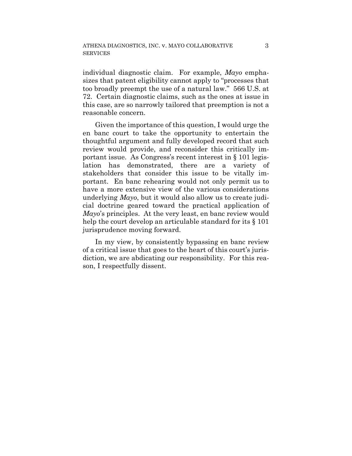individual diagnostic claim. For example, *Mayo* emphasizes that patent eligibility cannot apply to "processes that too broadly preempt the use of a natural law." 566 U.S. at 72. Certain diagnostic claims, such as the ones at issue in this case, are so narrowly tailored that preemption is not a reasonable concern.

Given the importance of this question, I would urge the en banc court to take the opportunity to entertain the thoughtful argument and fully developed record that such review would provide, and reconsider this critically important issue. As Congress's recent interest in § 101 legislation has demonstrated, there are a variety of stakeholders that consider this issue to be vitally important. En banc rehearing would not only permit us to have a more extensive view of the various considerations underlying *Mayo*, but it would also allow us to create judicial doctrine geared toward the practical application of *Mayo*'s principles. At the very least, en banc review would help the court develop an articulable standard for its  $\S 101$ jurisprudence moving forward.

In my view, by consistently bypassing en banc review of a critical issue that goes to the heart of this court's jurisdiction, we are abdicating our responsibility. For this reason, I respectfully dissent.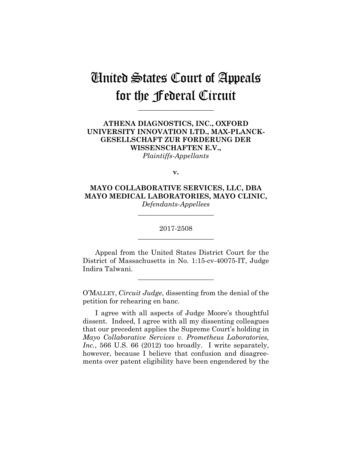# United States Court of Appeals for the Federal Circuit

**\_\_\_\_\_\_\_\_\_\_\_\_\_\_\_\_\_\_\_\_\_\_**

### **ATHENA DIAGNOSTICS, INC., OXFORD UNIVERSITY INNOVATION LTD., MAX-PLANCK-GESELLSCHAFT ZUR FORDERUNG DER WISSENSCHAFTEN E.V.,** *Plaintiffs-Appellants*

**v.**

**MAYO COLLABORATIVE SERVICES, LLC, DBA MAYO MEDICAL LABORATORIES, MAYO CLINIC,** *Defendants-Appellees*

> 2017-2508 **\_\_\_\_\_\_\_\_\_\_\_\_\_\_\_\_\_\_\_\_\_\_**

> **\_\_\_\_\_\_\_\_\_\_\_\_\_\_\_\_\_\_\_\_\_\_**

Appeal from the United States District Court for the District of Massachusetts in No. 1:15-cv-40075-IT, Judge Indira Talwani.

**\_\_\_\_\_\_\_\_\_\_\_\_\_\_\_\_\_\_\_\_\_\_**

O'MALLEY, *Circuit Judge*, dissenting from the denial of the petition for rehearing en banc.

I agree with all aspects of Judge Moore's thoughtful dissent. Indeed, I agree with all my dissenting colleagues that our precedent applies the Supreme Court's holding in *Mayo Collaborative Services v. Prometheus Laboratories, Inc.*, 566 U.S. 66 (2012) too broadly. I write separately, however, because I believe that confusion and disagreements over patent eligibility have been engendered by the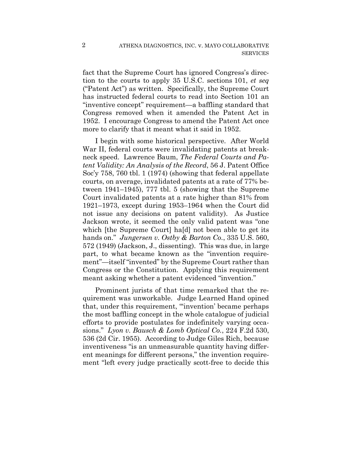fact that the Supreme Court has ignored Congress's direction to the courts to apply 35 U.S.C. sections 101, *et seq* ("Patent Act") as written. Specifically, the Supreme Court has instructed federal courts to read into Section 101 an "inventive concept" requirement—a baffling standard that Congress removed when it amended the Patent Act in 1952. I encourage Congress to amend the Patent Act once more to clarify that it meant what it said in 1952.

I begin with some historical perspective. After World War II, federal courts were invalidating patents at breakneck speed. Lawrence Baum, *The Federal Courts and Patent Validity: An Analysis of the Record*, 56 J. Patent Office Soc'y 758, 760 tbl. 1 (1974) (showing that federal appellate courts, on average, invalidated patents at a rate of 77% between 1941–1945), 777 tbl. 5 (showing that the Supreme Court invalidated patents at a rate higher than 81% from 1921–1973, except during 1953–1964 when the Court did not issue any decisions on patent validity). As Justice Jackson wrote, it seemed the only valid patent was "one which [the Supreme Court] ha[d] not been able to get its hands on." *Jungersen v. Ostby & Barton Co.*, 335 U.S. 560, 572 (1949) (Jackson, J., dissenting). This was due, in large part, to what became known as the "invention requirement"—itself "invented" by the Supreme Court rather than Congress or the Constitution. Applying this requirement meant asking whether a patent evidenced "invention."

Prominent jurists of that time remarked that the requirement was unworkable. Judge Learned Hand opined that, under this requirement, "'invention' became perhaps the most baffling concept in the whole catalogue of judicial efforts to provide postulates for indefinitely varying occasions." *Lyon v. Bausch & Lomb Optical Co.*, 224 F.2d 530, 536 (2d Cir. 1955). According to Judge Giles Rich, because inventiveness "is an unmeasurable quantity having different meanings for different persons," the invention requirement "left every judge practically scott-free to decide this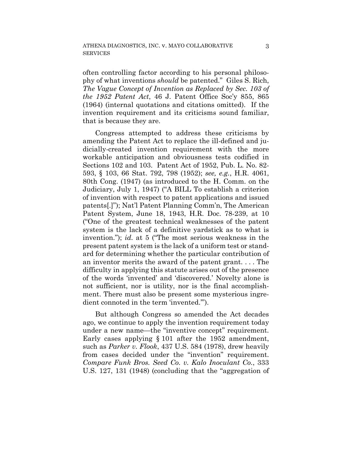often controlling factor according to his personal philosophy of what inventions *should* be patented." Giles S. Rich, *The Vague Concept of Invention as Replaced by Sec. 103 of the 1952 Patent Act*, 46 J. Patent Office Soc'y 855, 865 (1964) (internal quotations and citations omitted). If the invention requirement and its criticisms sound familiar, that is because they are.

Congress attempted to address these criticisms by amending the Patent Act to replace the ill-defined and judicially-created invention requirement with the more workable anticipation and obviousness tests codified in Sections 102 and 103. Patent Act of 1952, Pub. L. No. 82- 593, § 103, 66 Stat. 792, 798 (1952); *see, e.g.*, H.R. 4061, 80th Cong. (1947) (as introduced to the H. Comm. on the Judiciary, July 1, 1947) ("A BILL To establish a criterion of invention with respect to patent applications and issued patents[.]"); Nat'l Patent Planning Comm'n, The American Patent System, June 18, 1943, H.R. Doc. 78-239, at 10 ("One of the greatest technical weaknesses of the patent system is the lack of a definitive yardstick as to what is invention."); *id.* at 5 ("The most serious weakness in the present patent system is the lack of a uniform test or standard for determining whether the particular contribution of an inventor merits the award of the patent grant. . . . The difficulty in applying this statute arises out of the presence of the words 'invented' and 'discovered.' Novelty alone is not sufficient, nor is utility, nor is the final accomplishment. There must also be present some mysterious ingredient connoted in the term 'invented.'").

But although Congress so amended the Act decades ago, we continue to apply the invention requirement today under a new name—the "inventive concept" requirement. Early cases applying § 101 after the 1952 amendment, such as *Parker v. Flook*, 437 U.S. 584 (1978), drew heavily from cases decided under the "invention" requirement. *Compare Funk Bros. Seed Co. v. Kalo Inoculant Co.*, 333 U.S. 127, 131 (1948) (concluding that the "aggregation of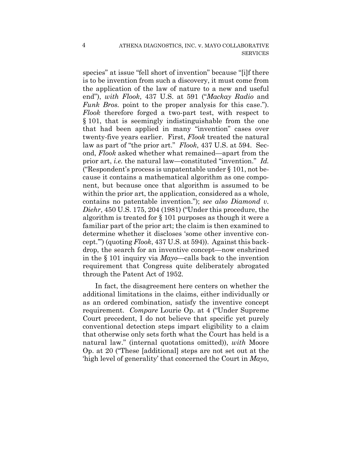species" at issue "fell short of invention" because "[i]f there is to be invention from such a discovery, it must come from the application of the law of nature to a new and useful end"), *with Flook*, 437 U.S. at 591 ("*Mackay Radio* and *Funk Bros.* point to the proper analysis for this case."). *Flook* therefore forged a two-part test, with respect to § 101, that is seemingly indistinguishable from the one that had been applied in many "invention" cases over twenty-five years earlier. First, *Flook* treated the natural law as part of "the prior art." *Flook*, 437 U.S. at 594. Second, *Flook* asked whether what remained—apart from the prior art, *i.e.* the natural law—constituted "invention." *Id.* ("Respondent's process is unpatentable under § 101, not because it contains a mathematical algorithm as one component, but because once that algorithm is assumed to be within the prior art, the application, considered as a whole. contains no patentable invention."); *see also Diamond v. Diehr*, 450 U.S. 175, 204 (1981) ("Under this procedure, the algorithm is treated for § 101 purposes as though it were a familiar part of the prior art; the claim is then examined to determine whether it discloses 'some other inventive concept.'") (quoting *Flook*, 437 U.S. at 594)). Against this backdrop, the search for an inventive concept—now enshrined in the § 101 inquiry via *Mayo*—calls back to the invention requirement that Congress quite deliberately abrogated through the Patent Act of 1952.

In fact, the disagreement here centers on whether the additional limitations in the claims, either individually or as an ordered combination, satisfy the inventive concept requirement. *Compare* Lourie Op. at 4 ("Under Supreme Court precedent, I do not believe that specific yet purely conventional detection steps impart eligibility to a claim that otherwise only sets forth what the Court has held is a natural law." (internal quotations omitted)), *with* Moore Op. at 20 ("These [additional] steps are not set out at the 'high level of generality' that concerned the Court in *Mayo*,